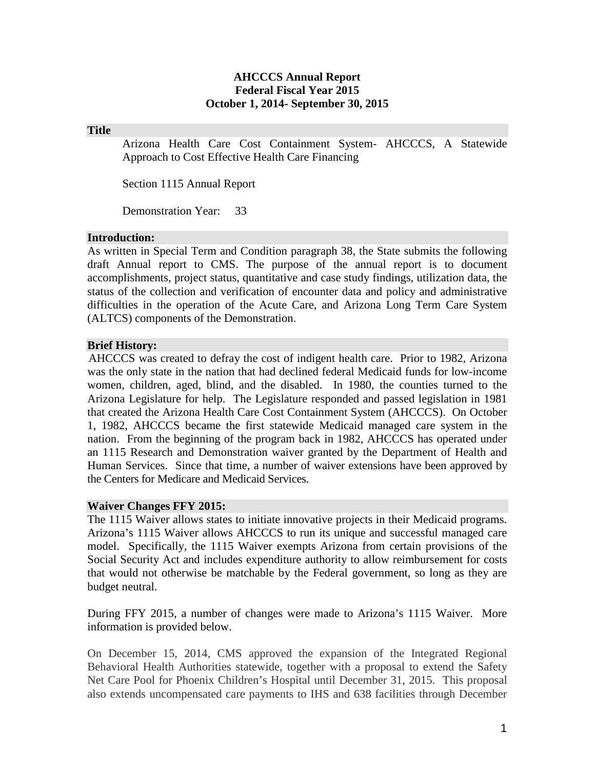# **AHCCCS Annual Report Federal Fiscal Year 2015 October 1, 2014- September 30, 2015**

### **Title**

Arizona Health Care Cost Containment System- AHCCCS, A Statewide Approach to Cost Effective Health Care Financing

Section 1115 Annual Report

Demonstration Year: 33

## **Introduction:**

As written in Special Term and Condition paragraph 38, the State submits the following draft Annual report to CMS. The purpose of the annual report is to document accomplishments, project status, quantitative and case study findings, utilization data, the status of the collection and verification of encounter data and policy and administrative difficulties in the operation of the Acute Care, and Arizona Long Term Care System (ALTCS) components of the Demonstration.

## **Brief History:**

AHCCCS was created to defray the cost of indigent health care. Prior to 1982, Arizona was the only state in the nation that had declined federal Medicaid funds for low-income women, children, aged, blind, and the disabled. In 1980, the counties turned to the Arizona Legislature for help. The Legislature responded and passed legislation in 1981 that created the Arizona Health Care Cost Containment System (AHCCCS). On October 1, 1982, AHCCCS became the first statewide Medicaid managed care system in the nation. From the beginning of the program back in 1982, AHCCCS has operated under an 1115 Research and Demonstration waiver granted by the Department of Health and Human Services. Since that time, a number of waiver extensions have been approved by the Centers for Medicare and Medicaid Services.

### **Waiver Changes FFY 2015:**

The 1115 Waiver allows states to initiate innovative projects in their Medicaid programs. Arizona's 1115 Waiver allows AHCCCS to run its unique and successful managed care model. Specifically, the 1115 Waiver exempts Arizona from certain provisions of the Social Security Act and includes expenditure authority to allow reimbursement for costs that would not otherwise be matchable by the Federal government, so long as they are budget neutral.

During FFY 2015, a number of changes were made to Arizona's 1115 Waiver. More information is provided below.

On December 15, 2014, CMS approved the expansion of the Integrated Regional Behavioral Health Authorities statewide, together with a proposal to extend the Safety Net Care Pool for Phoenix Children's Hospital until December 31, 2015. This proposal also extends uncompensated care payments to IHS and 638 facilities through December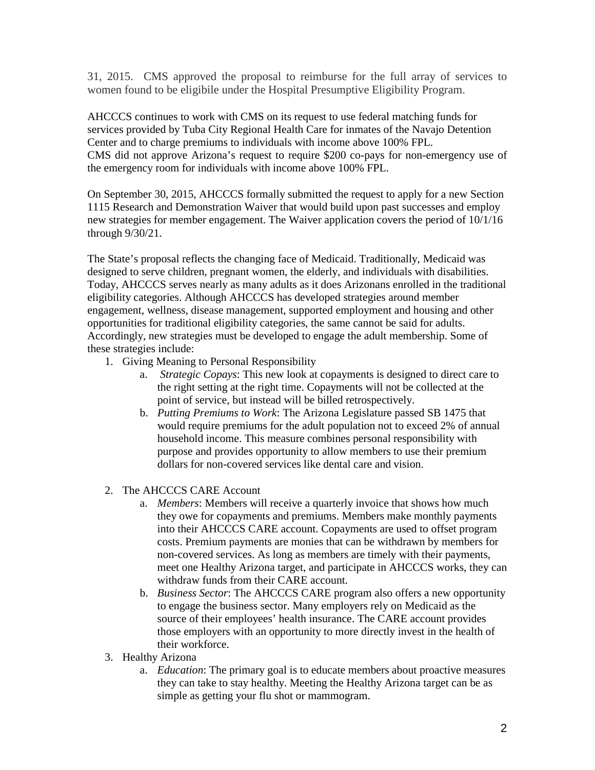31, 2015. CMS approved the proposal to reimburse for the full array of services to women found to be eligibile under the Hospital Presumptive Eligibility Program.

AHCCCS continues to work with CMS on its request to use federal matching funds for services provided by Tuba City Regional Health Care for inmates of the Navajo Detention Center and to charge premiums to individuals with income above 100% FPL. CMS did not approve Arizona's request to require \$200 co-pays for non-emergency use of the emergency room for individuals with income above 100% FPL.

On September 30, 2015, AHCCCS formally submitted the request to apply for a new Section 1115 Research and Demonstration Waiver that would build upon past successes and employ new strategies for member engagement. The Waiver application covers the period of 10/1/16 through 9/30/21.

The State's proposal reflects the changing face of Medicaid. Traditionally, Medicaid was designed to serve children, pregnant women, the elderly, and individuals with disabilities. Today, AHCCCS serves nearly as many adults as it does Arizonans enrolled in the traditional eligibility categories. Although AHCCCS has developed strategies around member engagement, wellness, disease management, supported employment and housing and other opportunities for traditional eligibility categories, the same cannot be said for adults. Accordingly, new strategies must be developed to engage the adult membership. Some of these strategies include:

- 1. Giving Meaning to Personal Responsibility
	- a. *Strategic Copays*: This new look at copayments is designed to direct care to the right setting at the right time. Copayments will not be collected at the point of service, but instead will be billed retrospectively.
	- b. *Putting Premiums to Work*: The Arizona Legislature passed SB 1475 that would require premiums for the adult population not to exceed 2% of annual household income. This measure combines personal responsibility with purpose and provides opportunity to allow members to use their premium dollars for non-covered services like dental care and vision.
- 2. The AHCCCS CARE Account
	- a. *Members*: Members will receive a quarterly invoice that shows how much they owe for copayments and premiums. Members make monthly payments into their AHCCCS CARE account. Copayments are used to offset program costs. Premium payments are monies that can be withdrawn by members for non-covered services. As long as members are timely with their payments, meet one Healthy Arizona target, and participate in AHCCCS works, they can withdraw funds from their CARE account.
	- b. *Business Sector*: The AHCCCS CARE program also offers a new opportunity to engage the business sector. Many employers rely on Medicaid as the source of their employees' health insurance. The CARE account provides those employers with an opportunity to more directly invest in the health of their workforce.
- 3. Healthy Arizona
	- a. *Education*: The primary goal is to educate members about proactive measures they can take to stay healthy. Meeting the Healthy Arizona target can be as simple as getting your flu shot or mammogram.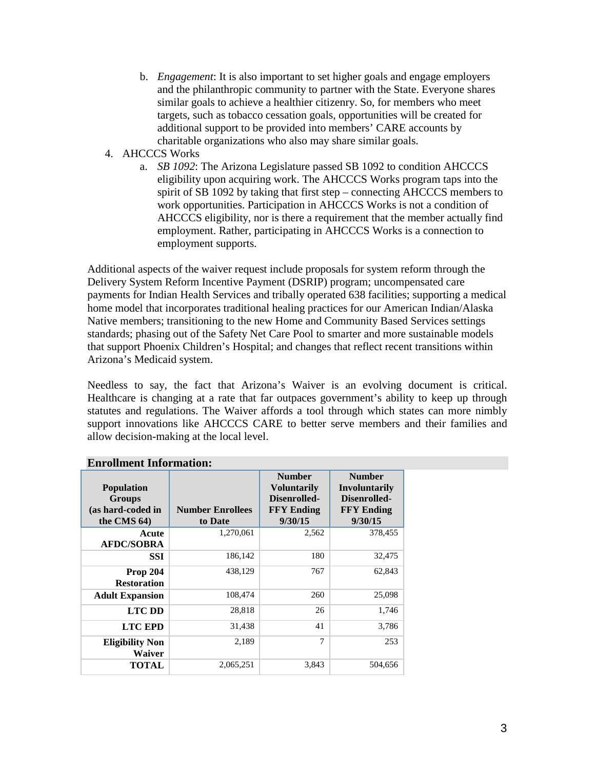- b. *Engagement*: It is also important to set higher goals and engage employers and the philanthropic community to partner with the State. Everyone shares similar goals to achieve a healthier citizenry. So, for members who meet targets, such as tobacco cessation goals, opportunities will be created for additional support to be provided into members' CARE accounts by charitable organizations who also may share similar goals.
- 4. AHCCCS Works
	- a. *SB 1092*: The Arizona Legislature passed SB 1092 to condition AHCCCS eligibility upon acquiring work. The AHCCCS Works program taps into the spirit of SB 1092 by taking that first step – connecting AHCCCS members to work opportunities. Participation in AHCCCS Works is not a condition of AHCCCS eligibility, nor is there a requirement that the member actually find employment. Rather, participating in AHCCCS Works is a connection to employment supports.

Additional aspects of the waiver request include proposals for system reform through the Delivery System Reform Incentive Payment (DSRIP) program; uncompensated care payments for Indian Health Services and tribally operated 638 facilities; supporting a medical home model that incorporates traditional healing practices for our American Indian/Alaska Native members; transitioning to the new Home and Community Based Services settings standards; phasing out of the Safety Net Care Pool to smarter and more sustainable models that support Phoenix Children's Hospital; and changes that reflect recent transitions within Arizona's Medicaid system.

Needless to say, the fact that Arizona's Waiver is an evolving document is critical. Healthcare is changing at a rate that far outpaces government's ability to keep up through statutes and regulations. The Waiver affords a tool through which states can more nimbly support innovations like AHCCCS CARE to better serve members and their families and allow decision-making at the local level.

| <b>Population</b><br><b>Groups</b><br>(as hard-coded in<br>the CMS 64) | <b>Number Enrollees</b><br>to Date | <b>Number</b><br><b>Voluntarily</b><br>Disenrolled-<br><b>FFY Ending</b><br>9/30/15 | <b>Number</b><br>Involuntarily<br>Disenrolled-<br><b>FFY</b> Ending<br>9/30/15 |
|------------------------------------------------------------------------|------------------------------------|-------------------------------------------------------------------------------------|--------------------------------------------------------------------------------|
| Acute<br><b>AFDC/SOBRA</b>                                             | 1,270,061                          | 2,562                                                                               | 378,455                                                                        |
| SSI                                                                    | 186,142                            | 180                                                                                 | 32,475                                                                         |
| <b>Prop 204</b><br><b>Restoration</b>                                  | 438,129                            | 767                                                                                 | 62,843                                                                         |
| <b>Adult Expansion</b>                                                 | 108,474                            | 260                                                                                 | 25,098                                                                         |
| <b>LTC DD</b>                                                          | 28,818                             | 26                                                                                  | 1,746                                                                          |
| <b>LTC EPD</b>                                                         | 31,438                             | 41                                                                                  | 3,786                                                                          |
| <b>Eligibility Non</b><br>Waiver                                       | 2,189                              | $\overline{7}$                                                                      | 253                                                                            |
| <b>TOTAL</b>                                                           | 2,065,251                          | 3,843                                                                               | 504.656                                                                        |

# **Enrollment Information:**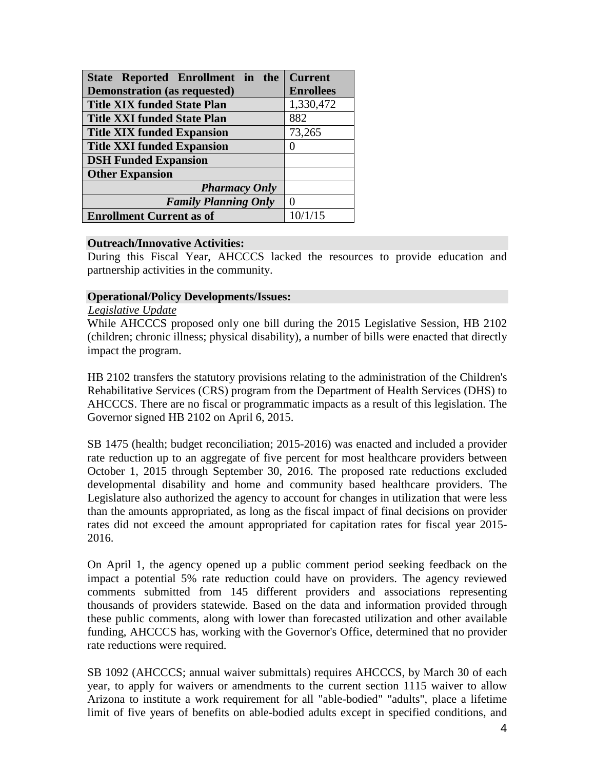| State Reported Enrollment in the    | <b>Current</b>   |
|-------------------------------------|------------------|
| <b>Demonstration (as requested)</b> | <b>Enrollees</b> |
| <b>Title XIX funded State Plan</b>  | 1,330,472        |
| <b>Title XXI funded State Plan</b>  | 882              |
| <b>Title XIX funded Expansion</b>   | 73,265           |
| <b>Title XXI funded Expansion</b>   |                  |
| <b>DSH Funded Expansion</b>         |                  |
| <b>Other Expansion</b>              |                  |
| <b>Pharmacy Only</b>                |                  |
| <b>Family Planning Only</b>         |                  |
| <b>Enrollment Current as of</b>     |                  |

## **Outreach/Innovative Activities:**

During this Fiscal Year, AHCCCS lacked the resources to provide education and partnership activities in the community.

## **Operational/Policy Developments/Issues:**

## <sup>U</sup>*Legislative Update*

While AHCCCS proposed only one bill during the 2015 Legislative Session, HB 2102 (children; chronic illness; physical disability), a number of bills were enacted that directly impact the program.

HB 2102 transfers the statutory provisions relating to the administration of the Children's Rehabilitative Services (CRS) program from the Department of Health Services (DHS) to AHCCCS. There are no fiscal or programmatic impacts as a result of this legislation. The Governor signed HB 2102 on April 6, 2015.

SB 1475 (health; budget reconciliation; 2015-2016) was enacted and included a provider rate reduction up to an aggregate of five percent for most healthcare providers between October 1, 2015 through September 30, 2016. The proposed rate reductions excluded developmental disability and home and community based healthcare providers. The Legislature also authorized the agency to account for changes in utilization that were less than the amounts appropriated, as long as the fiscal impact of final decisions on provider rates did not exceed the amount appropriated for capitation rates for fiscal year 2015- 2016.

On April 1, the agency opened up a public comment period seeking feedback on the impact a potential 5% rate reduction could have on providers. The agency reviewed comments submitted from 145 different providers and associations representing thousands of providers statewide. Based on the data and information provided through these public comments, along with lower than forecasted utilization and other available funding, AHCCCS has, working with the Governor's Office, determined that no provider rate reductions were required.

SB 1092 (AHCCCS; annual waiver submittals) requires AHCCCS, by March 30 of each year, to apply for waivers or amendments to the current section 1115 waiver to allow Arizona to institute a work requirement for all "able-bodied" "adults", place a lifetime limit of five years of benefits on able-bodied adults except in specified conditions, and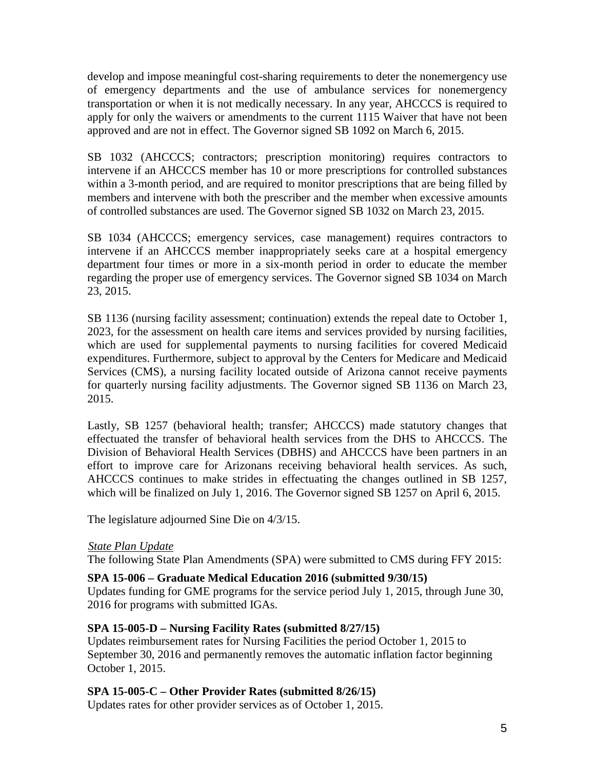develop and impose meaningful cost-sharing requirements to deter the nonemergency use of emergency departments and the use of ambulance services for nonemergency transportation or when it is not medically necessary. In any year, AHCCCS is required to apply for only the waivers or amendments to the current 1115 Waiver that have not been approved and are not in effect. The Governor signed SB 1092 on March 6, 2015.

SB 1032 (AHCCCS; contractors; prescription monitoring) requires contractors to intervene if an AHCCCS member has 10 or more prescriptions for controlled substances within a 3-month period, and are required to monitor prescriptions that are being filled by members and intervene with both the prescriber and the member when excessive amounts of controlled substances are used. The Governor signed SB 1032 on March 23, 2015.

SB 1034 (AHCCCS; emergency services, case management) requires contractors to intervene if an AHCCCS member inappropriately seeks care at a hospital emergency department four times or more in a six-month period in order to educate the member regarding the proper use of emergency services. The Governor signed SB 1034 on March 23, 2015.

SB 1136 (nursing facility assessment; continuation) extends the repeal date to October 1, 2023, for the assessment on health care items and services provided by nursing facilities, which are used for supplemental payments to nursing facilities for covered Medicaid expenditures. Furthermore, subject to approval by the Centers for Medicare and Medicaid Services (CMS), a nursing facility located outside of Arizona cannot receive payments for quarterly nursing facility adjustments. The Governor signed SB 1136 on March 23, 2015.

Lastly, SB 1257 (behavioral health; transfer; AHCCCS) made statutory changes that effectuated the transfer of behavioral health services from the DHS to AHCCCS. The Division of Behavioral Health Services (DBHS) and AHCCCS have been partners in an effort to improve care for Arizonans receiving behavioral health services. As such, AHCCCS continues to make strides in effectuating the changes outlined in SB 1257, which will be finalized on July 1, 2016. The Governor signed SB 1257 on April 6, 2015.

The legislature adjourned Sine Die on 4/3/15.

# <sup>U</sup>*State Plan Update*

The following State Plan Amendments (SPA) were submitted to CMS during FFY 2015:

# **SPA 15-006 – Graduate Medical Education 2016 (submitted 9/30/15)**

Updates funding for GME programs for the service period July 1, 2015, through June 30, 2016 for programs with submitted IGAs.

# **SPA 15-005-D – Nursing Facility Rates (submitted 8/27/15)**

Updates reimbursement rates for Nursing Facilities the period October 1, 2015 to September 30, 2016 and permanently removes the automatic inflation factor beginning October 1, 2015.

# **SPA 15-005-C – Other Provider Rates (submitted 8/26/15)**

Updates rates for other provider services as of October 1, 2015.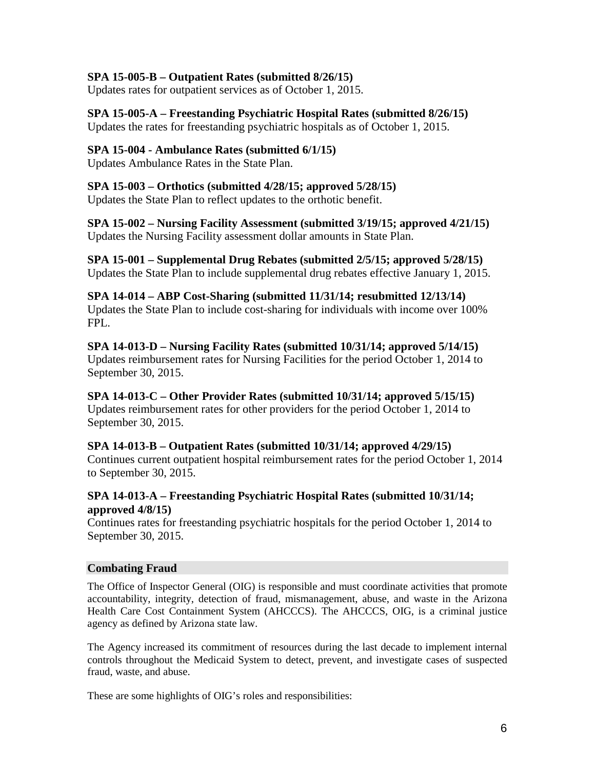# **SPA 15-005-B – Outpatient Rates (submitted 8/26/15)**

Updates rates for outpatient services as of October 1, 2015.

# **SPA 15-005-A – Freestanding Psychiatric Hospital Rates (submitted 8/26/15)**

Updates the rates for freestanding psychiatric hospitals as of October 1, 2015.

# **SPA 15-004 - Ambulance Rates (submitted 6/1/15)**

Updates Ambulance Rates in the State Plan.

# **SPA 15-003 – Orthotics (submitted 4/28/15; approved 5/28/15)**

Updates the State Plan to reflect updates to the orthotic benefit.

**SPA 15-002 – Nursing Facility Assessment (submitted 3/19/15; approved 4/21/15)** Updates the Nursing Facility assessment dollar amounts in State Plan.

# **SPA 15-001 – Supplemental Drug Rebates (submitted 2/5/15; approved 5/28/15)** Updates the State Plan to include supplemental drug rebates effective January 1, 2015.

**SPA 14-014 – ABP Cost-Sharing (submitted 11/31/14; resubmitted 12/13/14)** Updates the State Plan to include cost-sharing for individuals with income over 100% FPL.

**SPA 14-013-D – Nursing Facility Rates (submitted 10/31/14; approved 5/14/15)** Updates reimbursement rates for Nursing Facilities for the period October 1, 2014 to September 30, 2015.

# **SPA 14-013-C – Other Provider Rates (submitted 10/31/14; approved 5/15/15)**

Updates reimbursement rates for other providers for the period October 1, 2014 to September 30, 2015.

# **SPA 14-013-B – Outpatient Rates (submitted 10/31/14; approved 4/29/15)**

Continues current outpatient hospital reimbursement rates for the period October 1, 2014 to September 30, 2015.

# **SPA 14-013-A – Freestanding Psychiatric Hospital Rates (submitted 10/31/14; approved 4/8/15)**

Continues rates for freestanding psychiatric hospitals for the period October 1, 2014 to September 30, 2015.

# **Combating Fraud**

The Office of Inspector General (OIG) is responsible and must coordinate activities that promote accountability, integrity, detection of fraud, mismanagement, abuse, and waste in the Arizona Health Care Cost Containment System (AHCCCS). The AHCCCS, OIG, is a criminal justice agency as defined by Arizona state law.

The Agency increased its commitment of resources during the last decade to implement internal controls throughout the Medicaid System to detect, prevent, and investigate cases of suspected fraud, waste, and abuse.

These are some highlights of OIG's roles and responsibilities: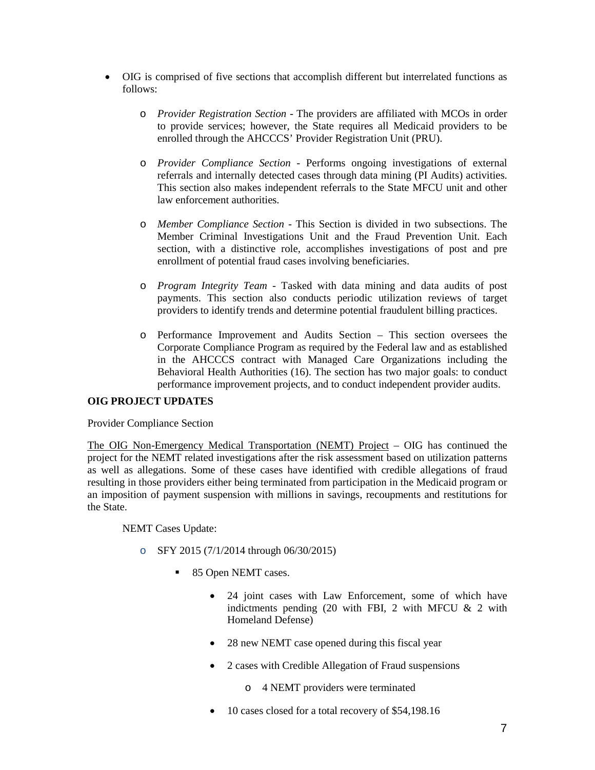- OIG is comprised of five sections that accomplish different but interrelated functions as follows:
	- o *Provider Registration Section*  The providers are affiliated with MCOs in order to provide services; however, the State requires all Medicaid providers to be enrolled through the AHCCCS' Provider Registration Unit (PRU).
	- o *Provider Compliance Section*  Performs ongoing investigations of external referrals and internally detected cases through data mining (PI Audits) activities. This section also makes independent referrals to the State MFCU unit and other law enforcement authorities.
	- o *Member Compliance Section* This Section is divided in two subsections. The Member Criminal Investigations Unit and the Fraud Prevention Unit. Each section, with a distinctive role, accomplishes investigations of post and pre enrollment of potential fraud cases involving beneficiaries.
	- o *Program Integrity Team* Tasked with data mining and data audits of post payments. This section also conducts periodic utilization reviews of target providers to identify trends and determine potential fraudulent billing practices.
	- o Performance Improvement and Audits Section This section oversees the Corporate Compliance Program as required by the Federal law and as established in the AHCCCS contract with Managed Care Organizations including the Behavioral Health Authorities (16). The section has two major goals: to conduct performance improvement projects, and to conduct independent provider audits.

# **OIG PROJECT UPDATES**

### Provider Compliance Section

The OIG Non-Emergency Medical Transportation (NEMT) Project – OIG has continued the project for the NEMT related investigations after the risk assessment based on utilization patterns as well as allegations. Some of these cases have identified with credible allegations of fraud resulting in those providers either being terminated from participation in the Medicaid program or an imposition of payment suspension with millions in savings, recoupments and restitutions for the State.

NEMT Cases Update:

- o SFY 2015 (7/1/2014 through 06/30/2015)
	- 85 Open NEMT cases.
		- 24 joint cases with Law Enforcement, some of which have indictments pending  $(20 \text{ with } FBI, 2 \text{ with } MFCU \& 2 \text{ with }$ Homeland Defense)
		- 28 new NEMT case opened during this fiscal year
		- 2 cases with Credible Allegation of Fraud suspensions
			- o 4 NEMT providers were terminated
		- 10 cases closed for a total recovery of \$54,198.16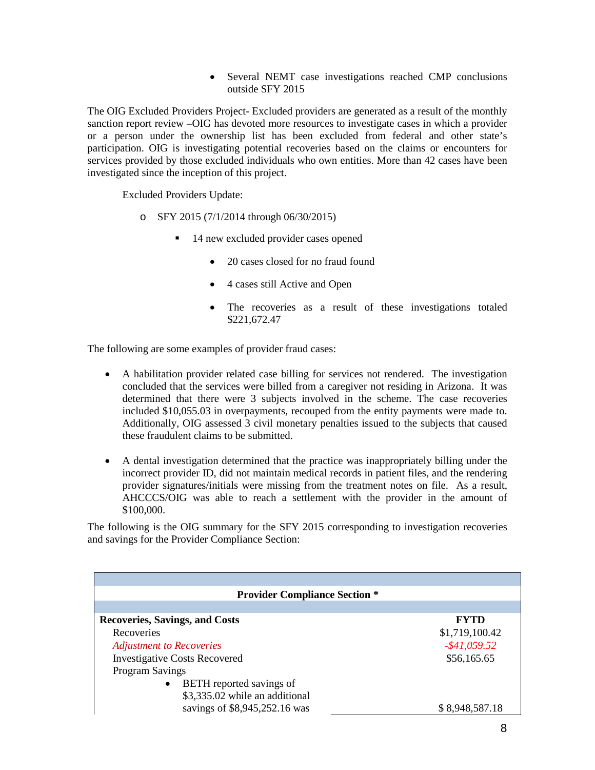• Several NEMT case investigations reached CMP conclusions outside SFY 2015

The OIG Excluded Providers Project- Excluded providers are generated as a result of the monthly sanction report review –OIG has devoted more resources to investigate cases in which a provider or a person under the ownership list has been excluded from federal and other state's participation. OIG is investigating potential recoveries based on the claims or encounters for services provided by those excluded individuals who own entities. More than 42 cases have been investigated since the inception of this project.

Excluded Providers Update:

- o SFY 2015 (7/1/2014 through 06/30/2015)
	- 14 new excluded provider cases opened
		- 20 cases closed for no fraud found
		- 4 cases still Active and Open
		- The recoveries as a result of these investigations totaled \$221,672.47

The following are some examples of provider fraud cases:

- A habilitation provider related case billing for services not rendered. The investigation concluded that the services were billed from a caregiver not residing in Arizona. It was determined that there were 3 subjects involved in the scheme. The case recoveries included \$10,055.03 in overpayments, recouped from the entity payments were made to. Additionally, OIG assessed 3 civil monetary penalties issued to the subjects that caused these fraudulent claims to be submitted.
- A dental investigation determined that the practice was inappropriately billing under the incorrect provider ID, did not maintain medical records in patient files, and the rendering provider signatures/initials were missing from the treatment notes on file. As a result, AHCCCS/OIG was able to reach a settlement with the provider in the amount of \$100,000.

The following is the OIG summary for the SFY 2015 corresponding to investigation recoveries and savings for the Provider Compliance Section:

| <b>Provider Compliance Section *</b>  |                 |  |  |  |  |  |
|---------------------------------------|-----------------|--|--|--|--|--|
|                                       |                 |  |  |  |  |  |
| <b>Recoveries, Savings, and Costs</b> | <b>FYTD</b>     |  |  |  |  |  |
| Recoveries                            | \$1,719,100.42  |  |  |  |  |  |
| <b>Adjustment to Recoveries</b>       | $-$ \$41,059.52 |  |  |  |  |  |
| <b>Investigative Costs Recovered</b>  | \$56,165.65     |  |  |  |  |  |
| <b>Program Savings</b>                |                 |  |  |  |  |  |
| <b>BETH</b> reported savings of       |                 |  |  |  |  |  |
| \$3,335.02 while an additional        |                 |  |  |  |  |  |
| savings of \$8,945,252.16 was         | \$8,948,587.18  |  |  |  |  |  |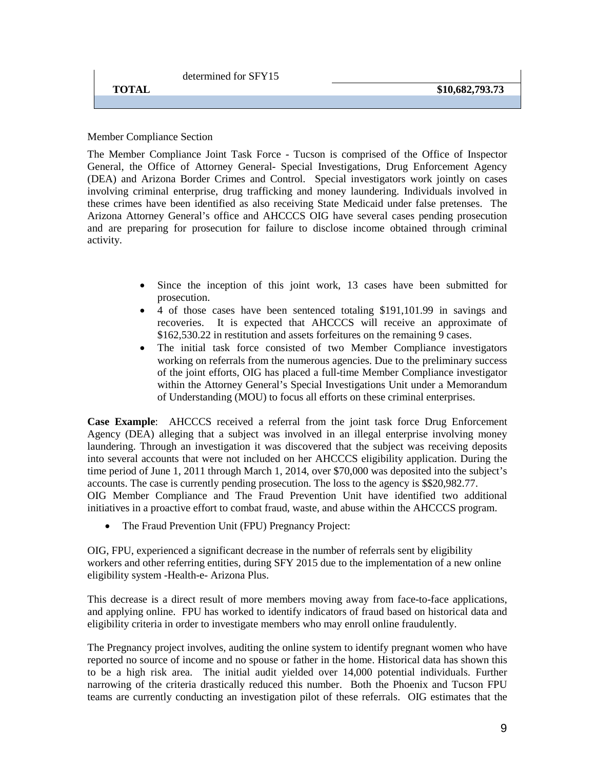|              | determined for SFY15 |                 |
|--------------|----------------------|-----------------|
| <b>TOTAL</b> |                      | \$10,682,793.73 |
|              |                      |                 |

### Member Compliance Section

The Member Compliance Joint Task Force - Tucson is comprised of the Office of Inspector General, the Office of Attorney General- Special Investigations, Drug Enforcement Agency (DEA) and Arizona Border Crimes and Control. Special investigators work jointly on cases involving criminal enterprise, drug trafficking and money laundering. Individuals involved in these crimes have been identified as also receiving State Medicaid under false pretenses. The Arizona Attorney General's office and AHCCCS OIG have several cases pending prosecution and are preparing for prosecution for failure to disclose income obtained through criminal activity.

- Since the inception of this joint work, 13 cases have been submitted for prosecution.
- 4 of those cases have been sentenced totaling \$191,101.99 in savings and recoveries. It is expected that AHCCCS will receive an approximate of \$162,530.22 in restitution and assets forfeitures on the remaining 9 cases.
- The initial task force consisted of two Member Compliance investigators working on referrals from the numerous agencies. Due to the preliminary success of the joint efforts, OIG has placed a full-time Member Compliance investigator within the Attorney General's Special Investigations Unit under a Memorandum of Understanding (MOU) to focus all efforts on these criminal enterprises.

**Case Example**: AHCCCS received a referral from the joint task force Drug Enforcement Agency (DEA) alleging that a subject was involved in an illegal enterprise involving money laundering. Through an investigation it was discovered that the subject was receiving deposits into several accounts that were not included on her AHCCCS eligibility application. During the time period of June 1, 2011 through March 1, 2014, over \$70,000 was deposited into the subject's accounts. The case is currently pending prosecution. The loss to the agency is \$\$20,982.77. OIG Member Compliance and The Fraud Prevention Unit have identified two additional initiatives in a proactive effort to combat fraud, waste, and abuse within the AHCCCS program.

• The Fraud Prevention Unit (FPU) Pregnancy Project:

OIG, FPU, experienced a significant decrease in the number of referrals sent by eligibility workers and other referring entities, during SFY 2015 due to the implementation of a new online eligibility system -Health-e- Arizona Plus.

This decrease is a direct result of more members moving away from face-to-face applications, and applying online. FPU has worked to identify indicators of fraud based on historical data and eligibility criteria in order to investigate members who may enroll online fraudulently.

The Pregnancy project involves, auditing the online system to identify pregnant women who have reported no source of income and no spouse or father in the home. Historical data has shown this to be a high risk area. The initial audit yielded over 14,000 potential individuals. Further narrowing of the criteria drastically reduced this number. Both the Phoenix and Tucson FPU teams are currently conducting an investigation pilot of these referrals. OIG estimates that the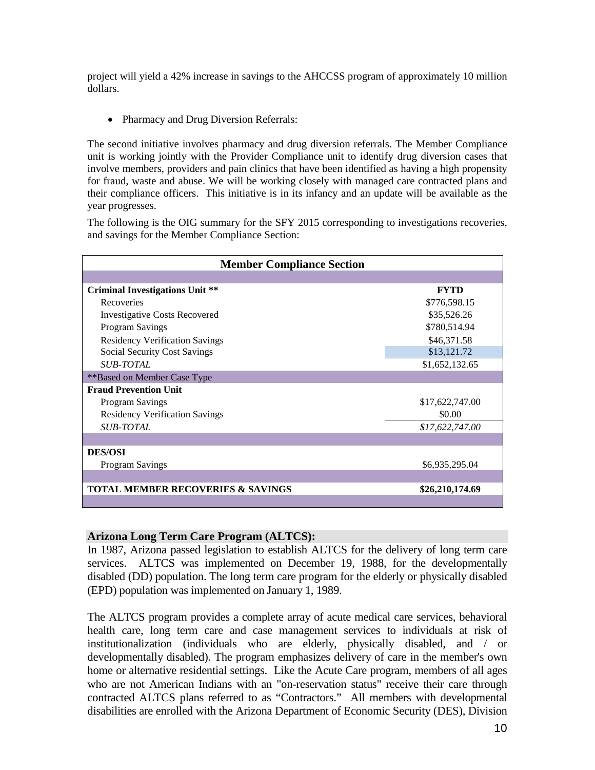project will yield a 42% increase in savings to the AHCCSS program of approximately 10 million dollars.

• Pharmacy and Drug Diversion Referrals:

The second initiative involves pharmacy and drug diversion referrals. The Member Compliance unit is working jointly with the Provider Compliance unit to identify drug diversion cases that involve members, providers and pain clinics that have been identified as having a high propensity for fraud, waste and abuse. We will be working closely with managed care contracted plans and their compliance officers. This initiative is in its infancy and an update will be available as the year progresses.

The following is the OIG summary for the SFY 2015 corresponding to investigations recoveries, and savings for the Member Compliance Section:

| <b>Member Compliance Section</b>             |                 |  |  |  |  |
|----------------------------------------------|-----------------|--|--|--|--|
|                                              |                 |  |  |  |  |
| <b>Criminal Investigations Unit **</b>       | <b>FYTD</b>     |  |  |  |  |
| Recoveries                                   | \$776,598.15    |  |  |  |  |
| <b>Investigative Costs Recovered</b>         | \$35,526.26     |  |  |  |  |
| <b>Program Savings</b>                       | \$780,514.94    |  |  |  |  |
| <b>Residency Verification Savings</b>        | \$46,371.58     |  |  |  |  |
| <b>Social Security Cost Savings</b>          | \$13,121.72     |  |  |  |  |
| <b>SUB-TOTAL</b>                             | \$1,652,132.65  |  |  |  |  |
| **Based on Member Case Type                  |                 |  |  |  |  |
| <b>Fraud Prevention Unit</b>                 |                 |  |  |  |  |
| <b>Program Savings</b>                       | \$17,622,747.00 |  |  |  |  |
| <b>Residency Verification Savings</b>        | \$0.00          |  |  |  |  |
| <b>SUB-TOTAL</b>                             | \$17,622,747.00 |  |  |  |  |
|                                              |                 |  |  |  |  |
| <b>DES/OSI</b>                               |                 |  |  |  |  |
| <b>Program Savings</b>                       | \$6,935,295.04  |  |  |  |  |
|                                              |                 |  |  |  |  |
| <b>TOTAL MEMBER RECOVERIES &amp; SAVINGS</b> | \$26,210,174.69 |  |  |  |  |
|                                              |                 |  |  |  |  |

# **Arizona Long Term Care Program (ALTCS):**

In 1987, Arizona passed legislation to establish ALTCS for the delivery of long term care services. ALTCS was implemented on December 19, 1988, for the developmentally disabled (DD) population. The long term care program for the elderly or physically disabled (EPD) population was implemented on January 1, 1989.

The ALTCS program provides a complete array of acute medical care services, behavioral health care, long term care and case management services to individuals at risk of institutionalization (individuals who are elderly, physically disabled, and / or developmentally disabled). The program emphasizes delivery of care in the member's own home or alternative residential settings. Like the Acute Care program, members of all ages who are not American Indians with an "on-reservation status" receive their care through contracted ALTCS plans referred to as "Contractors." All members with developmental disabilities are enrolled with the Arizona Department of Economic Security (DES), Division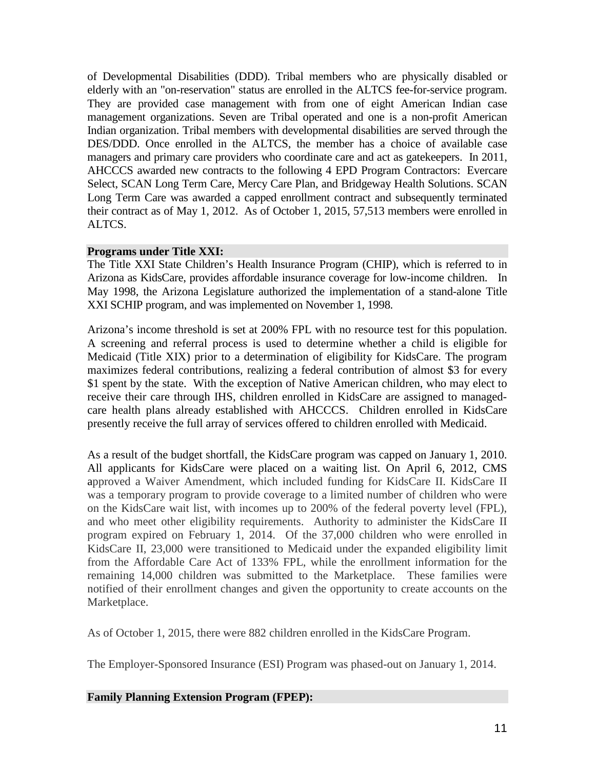of Developmental Disabilities (DDD). Tribal members who are physically disabled or elderly with an "on-reservation" status are enrolled in the ALTCS fee-for-service program. They are provided case management with from one of eight American Indian case management organizations. Seven are Tribal operated and one is a non-profit American Indian organization. Tribal members with developmental disabilities are served through the DES/DDD. Once enrolled in the ALTCS, the member has a choice of available case managers and primary care providers who coordinate care and act as gatekeepers. In 2011, AHCCCS awarded new contracts to the following 4 EPD Program Contractors: Evercare Select, SCAN Long Term Care, Mercy Care Plan, and Bridgeway Health Solutions. SCAN Long Term Care was awarded a capped enrollment contract and subsequently terminated their contract as of May 1, 2012. As of October 1, 2015, 57,513 members were enrolled in ALTCS.

# **Programs under Title XXI:**

The Title XXI State Children's Health Insurance Program (CHIP), which is referred to in Arizona as KidsCare, provides affordable insurance coverage for low-income children. In May 1998, the Arizona Legislature authorized the implementation of a stand-alone Title XXI SCHIP program, and was implemented on November 1, 1998.

Arizona's income threshold is set at 200% FPL with no resource test for this population. A screening and referral process is used to determine whether a child is eligible for Medicaid (Title XIX) prior to a determination of eligibility for KidsCare. The program maximizes federal contributions, realizing a federal contribution of almost \$3 for every \$1 spent by the state. With the exception of Native American children, who may elect to receive their care through IHS, children enrolled in KidsCare are assigned to managedcare health plans already established with AHCCCS. Children enrolled in KidsCare presently receive the full array of services offered to children enrolled with Medicaid.

As a result of the budget shortfall, the KidsCare program was capped on January 1, 2010. All applicants for KidsCare were placed on a waiting list. On April 6, 2012, CMS approved a Waiver Amendment, which included funding for KidsCare II. KidsCare II was a temporary program to provide coverage to a limited number of children who were on the KidsCare wait list, with incomes up to 200% of the federal poverty level (FPL), and who meet other eligibility requirements. Authority to administer the KidsCare II program expired on February 1, 2014. Of the 37,000 children who were enrolled in KidsCare II, 23,000 were transitioned to Medicaid under the expanded eligibility limit from the Affordable Care Act of 133% FPL, while the enrollment information for the remaining 14,000 children was submitted to the Marketplace. These families were notified of their enrollment changes and given the opportunity to create accounts on the Marketplace.

As of October 1, 2015, there were 882 children enrolled in the KidsCare Program.

The Employer-Sponsored Insurance (ESI) Program was phased-out on January 1, 2014.

# **Family Planning Extension Program (FPEP):**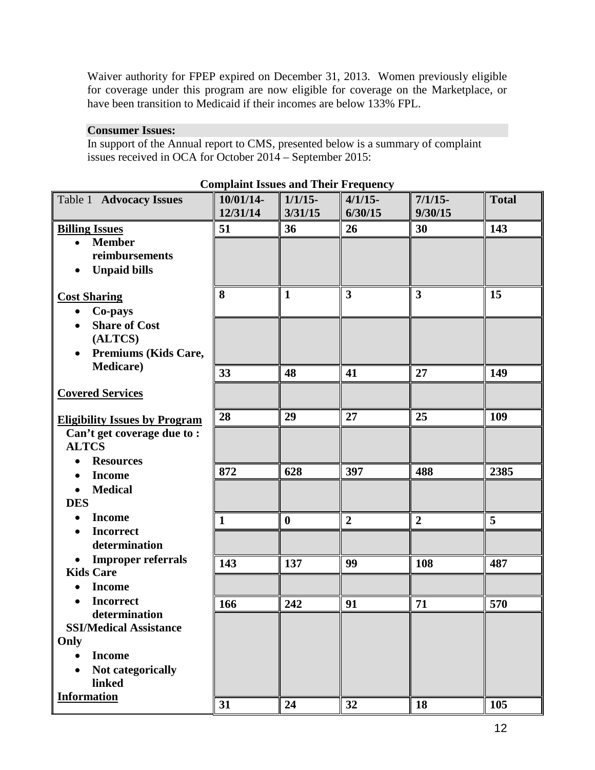Waiver authority for FPEP expired on December 31, 2013. Women previously eligible for coverage under this program are now eligible for coverage on the Marketplace, or have been transition to Medicaid if their incomes are below 133% FPL.

# **Consumer Issues:**

In support of the Annual report to CMS, presented below is a summary of complaint issues received in OCA for October 2014 – September 2015:

| <b>Table 1 Advocacy Issues</b>       | 10/01/14-    | $1/1/15$ -   | $4/1/15$ -              | $7/1/15$ -              | <b>Total</b> |
|--------------------------------------|--------------|--------------|-------------------------|-------------------------|--------------|
|                                      | 12/31/14     | 3/31/15      | 6/30/15                 | 9/30/15                 |              |
| <b>Billing Issues</b>                | 51           | 36           | 26                      | 30                      | 143          |
| <b>Member</b><br>$\bullet$           |              |              |                         |                         |              |
| reimbursements                       |              |              |                         |                         |              |
| <b>Unpaid bills</b><br>$\bullet$     |              |              |                         |                         |              |
|                                      | 8            | $\mathbf{1}$ | $\overline{\mathbf{3}}$ | $\overline{\mathbf{3}}$ | 15           |
| <b>Cost Sharing</b>                  |              |              |                         |                         |              |
| Co-pays<br>$\bullet$                 |              |              |                         |                         |              |
| <b>Share of Cost</b>                 |              |              |                         |                         |              |
| (ALTCS)                              |              |              |                         |                         |              |
| Premiums (Kids Care,                 |              |              |                         |                         |              |
| <b>Medicare</b> )                    | 33           | 48           | 41                      | 27                      | 149          |
| <b>Covered Services</b>              |              |              |                         |                         |              |
|                                      | 28           | 29           | 27                      | 25                      | 109          |
| <b>Eligibility Issues by Program</b> |              |              |                         |                         |              |
| Can't get coverage due to:           |              |              |                         |                         |              |
| <b>ALTCS</b>                         |              |              |                         |                         |              |
| <b>Resources</b>                     | 872          | 628          | 397                     | 488                     | 2385         |
| <b>Income</b><br>$\bullet$           |              |              |                         |                         |              |
| <b>Medical</b>                       |              |              |                         |                         |              |
| <b>DES</b>                           |              |              |                         |                         |              |
| <b>Income</b><br>$\bullet$           | $\mathbf{1}$ | $\bf{0}$     | $\overline{2}$          | $\overline{2}$          | 5            |
| <b>Incorrect</b><br>$\bullet$        |              |              |                         |                         |              |
| determination                        |              |              |                         |                         |              |
| <b>Improper referrals</b>            | 143          | 137          | 99                      | 108                     | 487          |
| <b>Kids Care</b>                     |              |              |                         |                         |              |
| <b>Income</b>                        |              |              |                         |                         |              |
| <b>Incorrect</b><br>$\bullet$        | 166          | 242          | 91                      | 71                      | 570          |
| determination                        |              |              |                         |                         |              |
| <b>SSI/Medical Assistance</b>        |              |              |                         |                         |              |
| Only                                 |              |              |                         |                         |              |
| <b>Income</b>                        |              |              |                         |                         |              |
| Not categorically                    |              |              |                         |                         |              |
| linked                               |              |              |                         |                         |              |
| <b>Information</b>                   | 31           | 24           | 32                      | <b>18</b>               | 105          |

# **Complaint Issues and Their Frequency**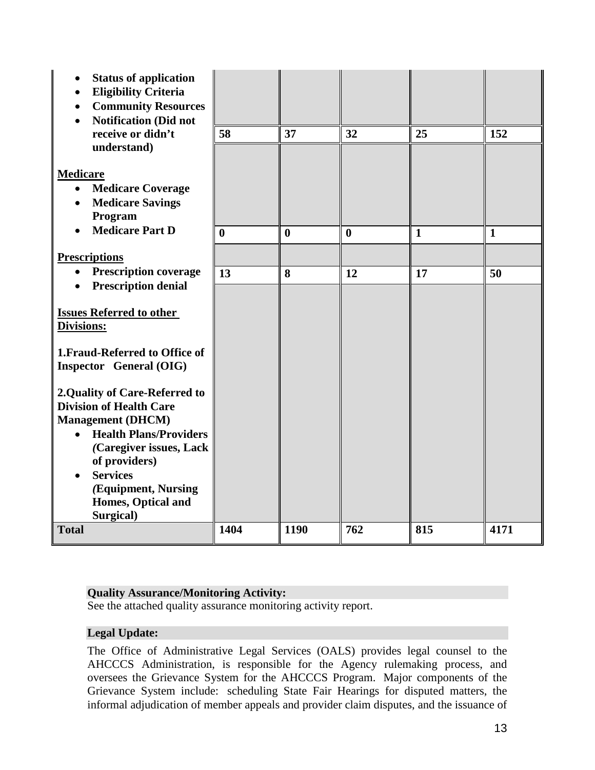| <b>Status of application</b><br><b>Eligibility Criteria</b><br><b>Community Resources</b><br><b>Notification (Did not</b><br>$\bullet$ |              |          |          |              |              |
|----------------------------------------------------------------------------------------------------------------------------------------|--------------|----------|----------|--------------|--------------|
| receive or didn't<br>understand)                                                                                                       | 58           | 37       | 32       | 25           | 152          |
| <b>Medicare</b><br><b>Medicare Coverage</b><br>$\bullet$<br><b>Medicare Savings</b><br>$\bullet$<br>Program                            |              |          |          |              |              |
| <b>Medicare Part D</b>                                                                                                                 | $\mathbf{0}$ | $\bf{0}$ | $\bf{0}$ | $\mathbf{1}$ | $\mathbf{1}$ |
| <b>Prescriptions</b>                                                                                                                   |              |          |          |              |              |
| <b>Prescription coverage</b><br>$\bullet$                                                                                              | 13           | 8        | 12       | 17           | 50           |
| <b>Prescription denial</b><br>$\bullet$                                                                                                |              |          |          |              |              |
| <b>Issues Referred to other</b><br><b>Divisions:</b>                                                                                   |              |          |          |              |              |
| 1. Fraud-Referred to Office of<br>Inspector General (OIG)                                                                              |              |          |          |              |              |
| 2. Quality of Care-Referred to<br><b>Division of Health Care</b>                                                                       |              |          |          |              |              |
| <b>Management (DHCM)</b><br><b>Health Plans/Providers</b><br>$\bullet$<br>(Caregiver issues, Lack<br>of providers)                     |              |          |          |              |              |
| <b>Services</b><br>$\bullet$<br>(Equipment, Nursing<br><b>Homes, Optical and</b><br>Surgical)                                          |              |          |          |              |              |
| <b>Total</b>                                                                                                                           | 1404         | 1190     | 762      | 815          | 4171         |

# **Quality Assurance/Monitoring Activity:**

See the attached quality assurance monitoring activity report.

# **Legal Update:**

The Office of Administrative Legal Services (OALS) provides legal counsel to the AHCCCS Administration, is responsible for the Agency rulemaking process, and oversees the Grievance System for the AHCCCS Program. Major components of the Grievance System include: scheduling State Fair Hearings for disputed matters, the informal adjudication of member appeals and provider claim disputes, and the issuance of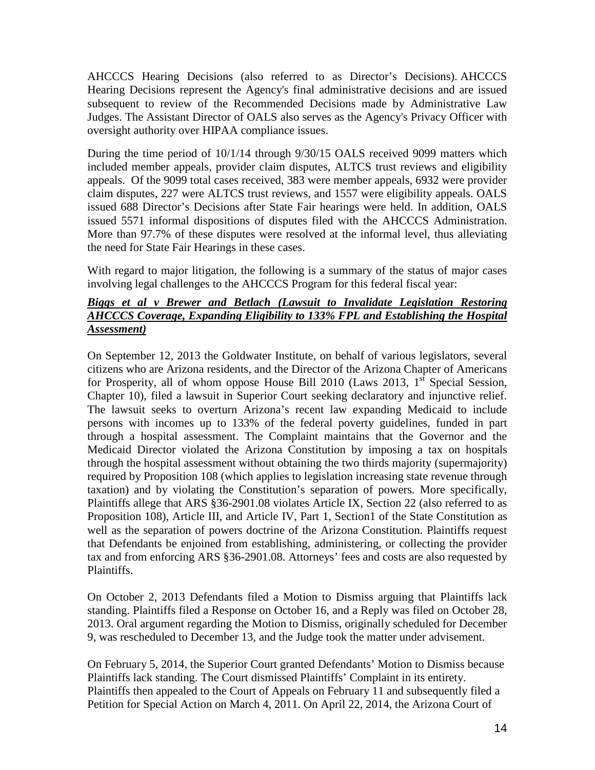AHCCCS Hearing Decisions (also referred to as Director's Decisions). AHCCCS Hearing Decisions represent the Agency's final administrative decisions and are issued subsequent to review of the Recommended Decisions made by Administrative Law Judges. The Assistant Director of OALS also serves as the Agency's Privacy Officer with oversight authority over HIPAA compliance issues.

During the time period of 10/1/14 through 9/30/15 OALS received 9099 matters which included member appeals, provider claim disputes, ALTCS trust reviews and eligibility appeals. Of the 9099 total cases received, 383 were member appeals, 6932 were provider claim disputes, 227 were ALTCS trust reviews, and 1557 were eligibility appeals. OALS issued 688 Director's Decisions after State Fair hearings were held. In addition, OALS issued 5571 informal dispositions of disputes filed with the AHCCCS Administration. More than 97.7% of these disputes were resolved at the informal level, thus alleviating the need for State Fair Hearings in these cases.

With regard to major litigation, the following is a summary of the status of major cases involving legal challenges to the AHCCCS Program for this federal fiscal year:

# *Biggs et al v Brewer and Betlach (Lawsuit to Invalidate Legislation Restoring AHCCCS Coverage, Expanding Eligibility to 133% FPL and Establishing the Hospital Assessment)*

On September 12, 2013 the Goldwater Institute, on behalf of various legislators, several citizens who are Arizona residents, and the Director of the Arizona Chapter of Americans for Prosperity, all of whom oppose House Bill 2010 (Laws 2013,  $1<sup>st</sup>$  Special Session, Chapter 10), filed a lawsuit in Superior Court seeking declaratory and injunctive relief. The lawsuit seeks to overturn Arizona's recent law expanding Medicaid to include persons with incomes up to 133% of the federal poverty guidelines, funded in part through a hospital assessment. The Complaint maintains that the Governor and the Medicaid Director violated the Arizona Constitution by imposing a tax on hospitals through the hospital assessment without obtaining the two thirds majority (supermajority) required by Proposition 108 (which applies to legislation increasing state revenue through taxation) and by violating the Constitution's separation of powers. More specifically, Plaintiffs allege that ARS §36-2901.08 violates Article IX, Section 22 (also referred to as Proposition 108), Article III, and Article IV, Part 1, Section1 of the State Constitution as well as the separation of powers doctrine of the Arizona Constitution. Plaintiffs request that Defendants be enjoined from establishing, administering, or collecting the provider tax and from enforcing ARS §36-2901.08. Attorneys' fees and costs are also requested by Plaintiffs.

On October 2, 2013 Defendants filed a Motion to Dismiss arguing that Plaintiffs lack standing. Plaintiffs filed a Response on October 16, and a Reply was filed on October 28, 2013. Oral argument regarding the Motion to Dismiss, originally scheduled for December 9, was rescheduled to December 13, and the Judge took the matter under advisement.

On February 5, 2014, the Superior Court granted Defendants' Motion to Dismiss because Plaintiffs lack standing. The Court dismissed Plaintiffs' Complaint in its entirety. Plaintiffs then appealed to the Court of Appeals on February 11 and subsequently filed a Petition for Special Action on March 4, 2011. On April 22, 2014, the Arizona Court of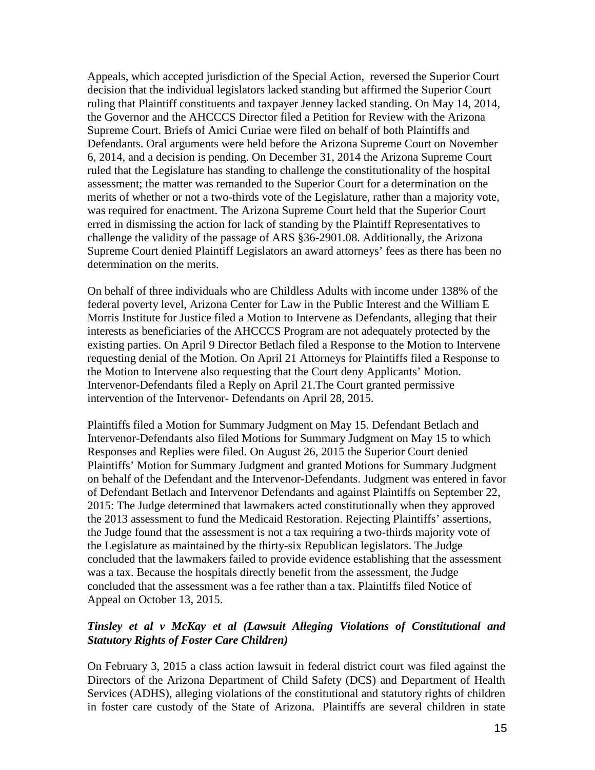Appeals, which accepted jurisdiction of the Special Action, reversed the Superior Court decision that the individual legislators lacked standing but affirmed the Superior Court ruling that Plaintiff constituents and taxpayer Jenney lacked standing. On May 14, 2014, the Governor and the AHCCCS Director filed a Petition for Review with the Arizona Supreme Court. Briefs of Amici Curiae were filed on behalf of both Plaintiffs and Defendants. Oral arguments were held before the Arizona Supreme Court on November 6, 2014, and a decision is pending. On December 31, 2014 the Arizona Supreme Court ruled that the Legislature has standing to challenge the constitutionality of the hospital assessment; the matter was remanded to the Superior Court for a determination on the merits of whether or not a two-thirds vote of the Legislature, rather than a majority vote, was required for enactment. The Arizona Supreme Court held that the Superior Court erred in dismissing the action for lack of standing by the Plaintiff Representatives to challenge the validity of the passage of ARS §36-2901.08. Additionally, the Arizona Supreme Court denied Plaintiff Legislators an award attorneys' fees as there has been no determination on the merits.

On behalf of three individuals who are Childless Adults with income under 138% of the federal poverty level, Arizona Center for Law in the Public Interest and the William E Morris Institute for Justice filed a Motion to Intervene as Defendants, alleging that their interests as beneficiaries of the AHCCCS Program are not adequately protected by the existing parties. On April 9 Director Betlach filed a Response to the Motion to Intervene requesting denial of the Motion. On April 21 Attorneys for Plaintiffs filed a Response to the Motion to Intervene also requesting that the Court deny Applicants' Motion. Intervenor-Defendants filed a Reply on April 21.The Court granted permissive intervention of the Intervenor- Defendants on April 28, 2015.

Plaintiffs filed a Motion for Summary Judgment on May 15. Defendant Betlach and Intervenor-Defendants also filed Motions for Summary Judgment on May 15 to which Responses and Replies were filed. On August 26, 2015 the Superior Court denied Plaintiffs' Motion for Summary Judgment and granted Motions for Summary Judgment on behalf of the Defendant and the Intervenor-Defendants. Judgment was entered in favor of Defendant Betlach and Intervenor Defendants and against Plaintiffs on September 22, 2015: The Judge determined that lawmakers acted constitutionally when they approved the 2013 assessment to fund the Medicaid Restoration. Rejecting Plaintiffs' assertions, the Judge found that the assessment is not a tax requiring a two-thirds majority vote of the Legislature as maintained by the thirty-six Republican legislators. The Judge concluded that the lawmakers failed to provide evidence establishing that the assessment was a tax. Because the hospitals directly benefit from the assessment, the Judge concluded that the assessment was a fee rather than a tax. Plaintiffs filed Notice of Appeal on October 13, 2015.

# *Tinsley et al v McKay et al (Lawsuit Alleging Violations of Constitutional and Statutory Rights of Foster Care Children)*

On February 3, 2015 a class action lawsuit in federal district court was filed against the Directors of the Arizona Department of Child Safety (DCS) and Department of Health Services (ADHS), alleging violations of the constitutional and statutory rights of children in foster care custody of the State of Arizona. Plaintiffs are several children in state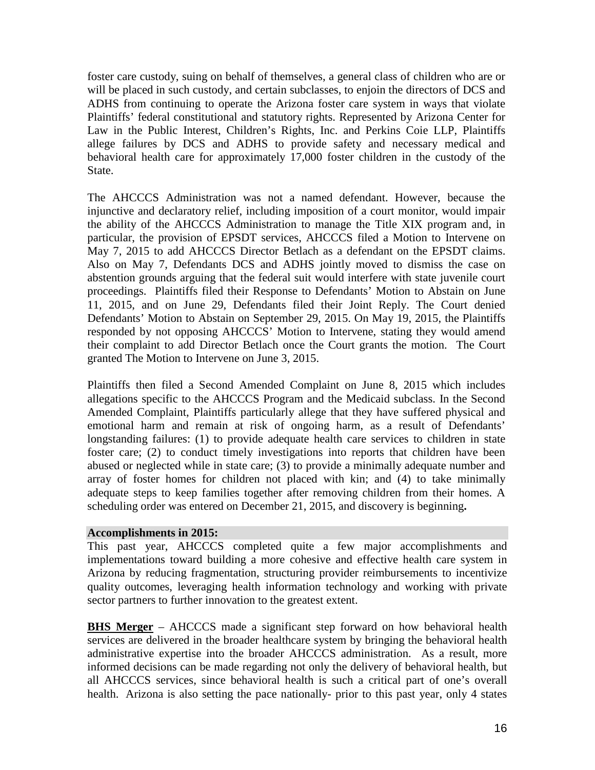foster care custody, suing on behalf of themselves, a general class of children who are or will be placed in such custody, and certain subclasses, to enjoin the directors of DCS and ADHS from continuing to operate the Arizona foster care system in ways that violate Plaintiffs' federal constitutional and statutory rights. Represented by Arizona Center for Law in the Public Interest, Children's Rights, Inc. and Perkins Coie LLP, Plaintiffs allege failures by DCS and ADHS to provide safety and necessary medical and behavioral health care for approximately 17,000 foster children in the custody of the State.

The AHCCCS Administration was not a named defendant. However, because the injunctive and declaratory relief, including imposition of a court monitor, would impair the ability of the AHCCCS Administration to manage the Title XIX program and, in particular, the provision of EPSDT services, AHCCCS filed a Motion to Intervene on May 7, 2015 to add AHCCCS Director Betlach as a defendant on the EPSDT claims. Also on May 7, Defendants DCS and ADHS jointly moved to dismiss the case on abstention grounds arguing that the federal suit would interfere with state juvenile court proceedings. Plaintiffs filed their Response to Defendants' Motion to Abstain on June 11, 2015, and on June 29, Defendants filed their Joint Reply. The Court denied Defendants' Motion to Abstain on September 29, 2015. On May 19, 2015, the Plaintiffs responded by not opposing AHCCCS' Motion to Intervene, stating they would amend their complaint to add Director Betlach once the Court grants the motion. The Court granted The Motion to Intervene on June 3, 2015.

Plaintiffs then filed a Second Amended Complaint on June 8, 2015 which includes allegations specific to the AHCCCS Program and the Medicaid subclass. In the Second Amended Complaint, Plaintiffs particularly allege that they have suffered physical and emotional harm and remain at risk of ongoing harm, as a result of Defendants' longstanding failures: (1) to provide adequate health care services to children in state foster care; (2) to conduct timely investigations into reports that children have been abused or neglected while in state care; (3) to provide a minimally adequate number and array of foster homes for children not placed with kin; and (4) to take minimally adequate steps to keep families together after removing children from their homes. A scheduling order was entered on December 21, 2015, and discovery is beginning**.** 

# **Accomplishments in 2015:**

This past year, AHCCCS completed quite a few major accomplishments and implementations toward building a more cohesive and effective health care system in Arizona by reducing fragmentation, structuring provider reimbursements to incentivize quality outcomes, leveraging health information technology and working with private sector partners to further innovation to the greatest extent.

**BHS Merger** – AHCCCS made a significant step forward on how behavioral health services are delivered in the broader healthcare system by bringing the behavioral health administrative expertise into the broader AHCCCS administration. As a result, more informed decisions can be made regarding not only the delivery of behavioral health, but all AHCCCS services, since behavioral health is such a critical part of one's overall health. Arizona is also setting the pace nationally- prior to this past year, only 4 states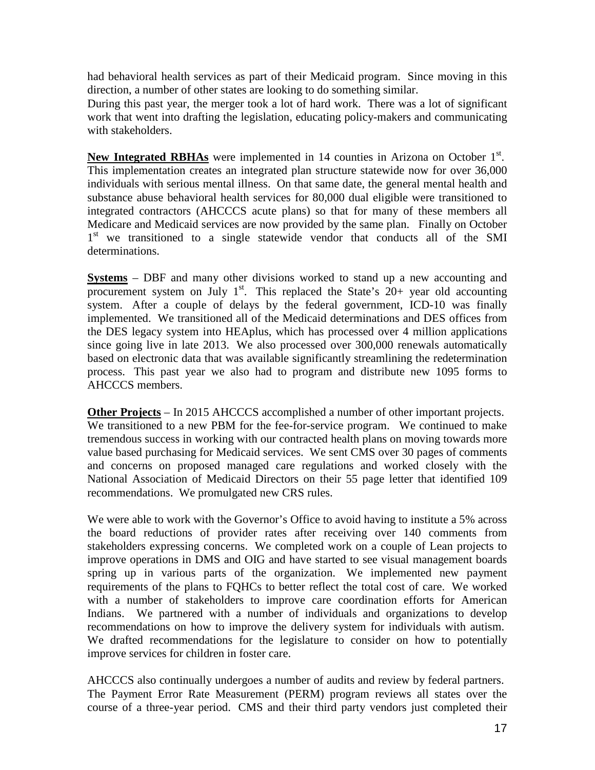had behavioral health services as part of their Medicaid program. Since moving in this direction, a number of other states are looking to do something similar.

During this past year, the merger took a lot of hard work. There was a lot of significant work that went into drafting the legislation, educating policy-makers and communicating with stakeholders.

New Integrated RBHAs were implemented in 14 counties in Arizona on October 1<sup>st</sup>. This implementation creates an integrated plan structure statewide now for over 36,000 individuals with serious mental illness. On that same date, the general mental health and substance abuse behavioral health services for 80,000 dual eligible were transitioned to integrated contractors (AHCCCS acute plans) so that for many of these members all Medicare and Medicaid services are now provided by the same plan. Finally on October 1<sup>st</sup> we transitioned to a single statewide vendor that conducts all of the SMI determinations.

**Systems** – DBF and many other divisions worked to stand up a new accounting and procurement system on July  $1<sup>st</sup>$ . This replaced the State's  $20+$  year old accounting system. After a couple of delays by the federal government, ICD-10 was finally implemented. We transitioned all of the Medicaid determinations and DES offices from the DES legacy system into HEAplus, which has processed over 4 million applications since going live in late 2013. We also processed over 300,000 renewals automatically based on electronic data that was available significantly streamlining the redetermination process. This past year we also had to program and distribute new 1095 forms to AHCCCS members.

**Other Projects** – In 2015 AHCCCS accomplished a number of other important projects. We transitioned to a new PBM for the fee-for-service program. We continued to make tremendous success in working with our contracted health plans on moving towards more value based purchasing for Medicaid services. We sent CMS over 30 pages of comments and concerns on proposed managed care regulations and worked closely with the National Association of Medicaid Directors on their 55 page letter that identified 109 recommendations. We promulgated new CRS rules.

We were able to work with the Governor's Office to avoid having to institute a 5% across the board reductions of provider rates after receiving over 140 comments from stakeholders expressing concerns. We completed work on a couple of Lean projects to improve operations in DMS and OIG and have started to see visual management boards spring up in various parts of the organization. We implemented new payment requirements of the plans to FQHCs to better reflect the total cost of care. We worked with a number of stakeholders to improve care coordination efforts for American Indians. We partnered with a number of individuals and organizations to develop recommendations on how to improve the delivery system for individuals with autism. We drafted recommendations for the legislature to consider on how to potentially improve services for children in foster care.

AHCCCS also continually undergoes a number of audits and review by federal partners. The Payment Error Rate Measurement (PERM) program reviews all states over the course of a three-year period. CMS and their third party vendors just completed their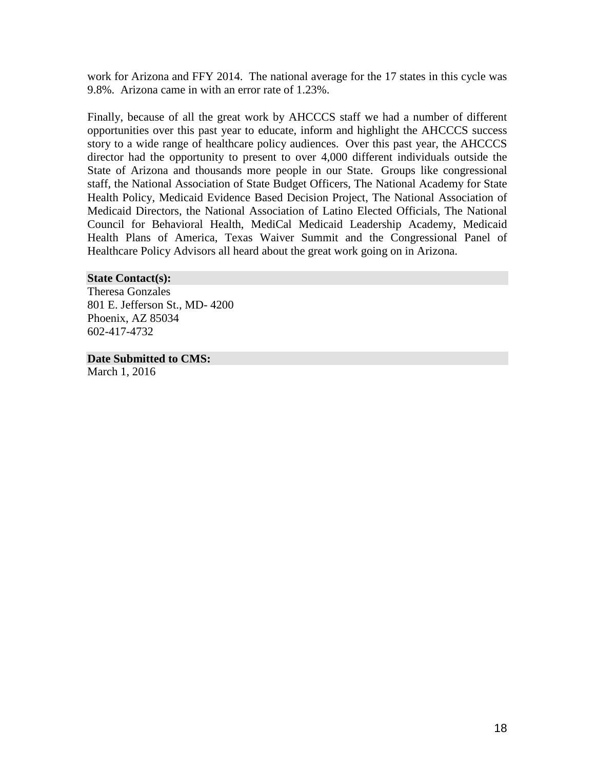work for Arizona and FFY 2014. The national average for the 17 states in this cycle was 9.8%. Arizona came in with an error rate of 1.23%.

Finally, because of all the great work by AHCCCS staff we had a number of different opportunities over this past year to educate, inform and highlight the AHCCCS success story to a wide range of healthcare policy audiences. Over this past year, the AHCCCS director had the opportunity to present to over 4,000 different individuals outside the State of Arizona and thousands more people in our State. Groups like congressional staff, the National Association of State Budget Officers, The National Academy for State Health Policy, Medicaid Evidence Based Decision Project, The National Association of Medicaid Directors, the National Association of Latino Elected Officials, The National Council for Behavioral Health, MediCal Medicaid Leadership Academy, Medicaid Health Plans of America, Texas Waiver Summit and the Congressional Panel of Healthcare Policy Advisors all heard about the great work going on in Arizona.

## **State Contact(s):**

Theresa Gonzales 801 E. Jefferson St., MD- 4200 Phoenix, AZ 85034 602-417-4732

**Date Submitted to CMS:**

March 1, 2016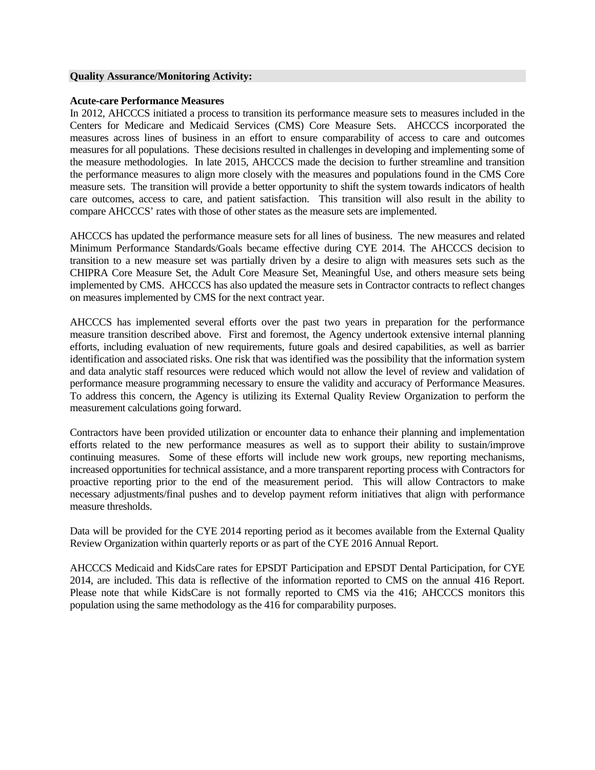### **Quality Assurance/Monitoring Activity:**

### **Acute-care Performance Measures**

In 2012, AHCCCS initiated a process to transition its performance measure sets to measures included in the Centers for Medicare and Medicaid Services (CMS) Core Measure Sets. AHCCCS incorporated the measures across lines of business in an effort to ensure comparability of access to care and outcomes measures for all populations. These decisions resulted in challenges in developing and implementing some of the measure methodologies. In late 2015, AHCCCS made the decision to further streamline and transition the performance measures to align more closely with the measures and populations found in the CMS Core measure sets. The transition will provide a better opportunity to shift the system towards indicators of health care outcomes, access to care, and patient satisfaction. This transition will also result in the ability to compare AHCCCS' rates with those of other states as the measure sets are implemented.

AHCCCS has updated the performance measure sets for all lines of business. The new measures and related Minimum Performance Standards/Goals became effective during CYE 2014. The AHCCCS decision to transition to a new measure set was partially driven by a desire to align with measures sets such as the CHIPRA Core Measure Set, the Adult Core Measure Set, Meaningful Use, and others measure sets being implemented by CMS. AHCCCS has also updated the measure sets in Contractor contracts to reflect changes on measures implemented by CMS for the next contract year.

AHCCCS has implemented several efforts over the past two years in preparation for the performance measure transition described above. First and foremost, the Agency undertook extensive internal planning efforts, including evaluation of new requirements, future goals and desired capabilities, as well as barrier identification and associated risks. One risk that was identified was the possibility that the information system and data analytic staff resources were reduced which would not allow the level of review and validation of performance measure programming necessary to ensure the validity and accuracy of Performance Measures. To address this concern, the Agency is utilizing its External Quality Review Organization to perform the measurement calculations going forward.

Contractors have been provided utilization or encounter data to enhance their planning and implementation efforts related to the new performance measures as well as to support their ability to sustain/improve continuing measures. Some of these efforts will include new work groups, new reporting mechanisms, increased opportunities for technical assistance, and a more transparent reporting process with Contractors for proactive reporting prior to the end of the measurement period. This will allow Contractors to make necessary adjustments/final pushes and to develop payment reform initiatives that align with performance measure thresholds.

Data will be provided for the CYE 2014 reporting period as it becomes available from the External Quality Review Organization within quarterly reports or as part of the CYE 2016 Annual Report.

AHCCCS Medicaid and KidsCare rates for EPSDT Participation and EPSDT Dental Participation, for CYE 2014, are included. This data is reflective of the information reported to CMS on the annual 416 Report. Please note that while KidsCare is not formally reported to CMS via the 416; AHCCCS monitors this population using the same methodology as the 416 for comparability purposes.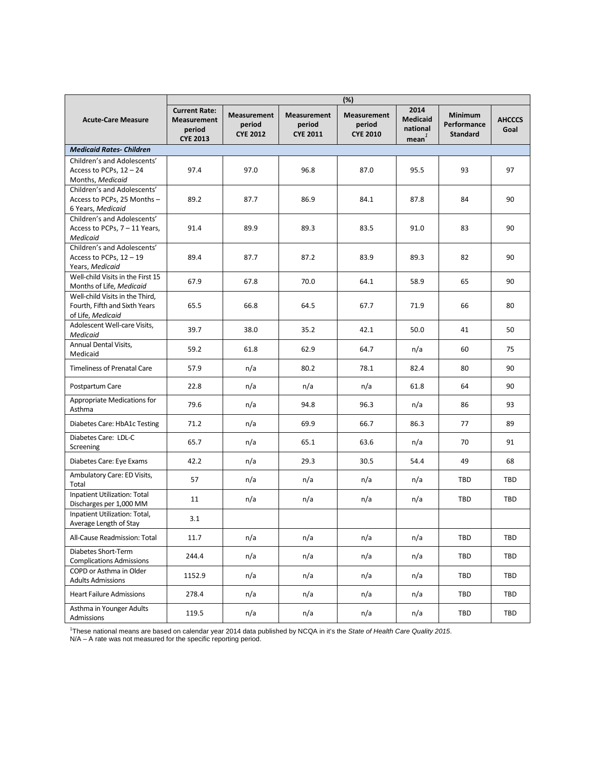|                                                                                       | (%)                                                                     |                                                 |                                                 |                                                 |                                                          |                                                  |                       |
|---------------------------------------------------------------------------------------|-------------------------------------------------------------------------|-------------------------------------------------|-------------------------------------------------|-------------------------------------------------|----------------------------------------------------------|--------------------------------------------------|-----------------------|
| <b>Acute-Care Measure</b>                                                             | <b>Current Rate:</b><br><b>Measurement</b><br>period<br><b>CYE 2013</b> | <b>Measurement</b><br>period<br><b>CYE 2012</b> | <b>Measurement</b><br>period<br><b>CYE 2011</b> | <b>Measurement</b><br>period<br><b>CYE 2010</b> | 2014<br><b>Medicaid</b><br>national<br>mean <sup>1</sup> | <b>Minimum</b><br>Performance<br><b>Standard</b> | <b>AHCCCS</b><br>Goal |
| <b>Medicaid Rates- Children</b>                                                       |                                                                         |                                                 |                                                 |                                                 |                                                          |                                                  |                       |
| Children's and Adolescents'<br>Access to PCPs, $12 - 24$<br>Months, Medicaid          | 97.4                                                                    | 97.0                                            | 96.8                                            | 87.0                                            | 95.5                                                     | 93                                               | 97                    |
| Children's and Adolescents'<br>Access to PCPs, 25 Months -<br>6 Years, Medicaid       | 89.2                                                                    | 87.7                                            | 86.9                                            | 84.1                                            | 87.8                                                     | 84                                               | 90                    |
| Children's and Adolescents'<br>Access to PCPs, 7 - 11 Years,<br>Medicaid              | 91.4                                                                    | 89.9                                            | 89.3                                            | 83.5                                            | 91.0                                                     | 83                                               | 90                    |
| Children's and Adolescents'<br>Access to PCPs, 12 - 19<br>Years, Medicaid             | 89.4                                                                    | 87.7                                            | 87.2                                            | 83.9                                            | 89.3                                                     | 82                                               | 90                    |
| Well-child Visits in the First 15<br>Months of Life, Medicaid                         | 67.9                                                                    | 67.8                                            | 70.0                                            | 64.1                                            | 58.9                                                     | 65                                               | 90                    |
| Well-child Visits in the Third,<br>Fourth, Fifth and Sixth Years<br>of Life, Medicaid | 65.5                                                                    | 66.8                                            | 64.5                                            | 67.7                                            | 71.9                                                     | 66                                               | 80                    |
| Adolescent Well-care Visits,<br>Medicaid                                              | 39.7                                                                    | 38.0                                            | 35.2                                            | 42.1                                            | 50.0                                                     | 41                                               | 50                    |
| Annual Dental Visits,<br>Medicaid                                                     | 59.2                                                                    | 61.8                                            | 62.9                                            | 64.7                                            | n/a                                                      | 60                                               | 75                    |
| <b>Timeliness of Prenatal Care</b>                                                    | 57.9                                                                    | n/a                                             | 80.2                                            | 78.1                                            | 82.4                                                     | 80                                               | 90                    |
| Postpartum Care                                                                       | 22.8                                                                    | n/a                                             | n/a                                             | n/a                                             | 61.8                                                     | 64                                               | 90                    |
| Appropriate Medications for<br>Asthma                                                 | 79.6                                                                    | n/a                                             | 94.8                                            | 96.3                                            | n/a                                                      | 86                                               | 93                    |
| Diabetes Care: HbA1c Testing                                                          | 71.2                                                                    | n/a                                             | 69.9                                            | 66.7                                            | 86.3                                                     | 77                                               | 89                    |
| Diabetes Care: LDL-C<br>Screening                                                     | 65.7                                                                    | n/a                                             | 65.1                                            | 63.6                                            | n/a                                                      | 70                                               | 91                    |
| Diabetes Care: Eye Exams                                                              | 42.2                                                                    | n/a                                             | 29.3                                            | 30.5                                            | 54.4                                                     | 49                                               | 68                    |
| Ambulatory Care: ED Visits,<br>Total                                                  | 57                                                                      | n/a                                             | n/a                                             | n/a                                             | n/a                                                      | TBD                                              | TBD                   |
| Inpatient Utilization: Total<br>Discharges per 1,000 MM                               | 11                                                                      | n/a                                             | n/a                                             | n/a                                             | n/a                                                      | TBD                                              | TBD                   |
| Inpatient Utilization: Total,<br>Average Length of Stay                               | 3.1                                                                     |                                                 |                                                 |                                                 |                                                          |                                                  |                       |
| All-Cause Readmission: Total                                                          | 11.7                                                                    | n/a                                             | n/a                                             | n/a                                             | n/a                                                      | TBD                                              | TBD                   |
| Diabetes Short-Term<br><b>Complications Admissions</b>                                | 244.4                                                                   | n/a                                             | n/a                                             | n/a                                             | n/a                                                      | TBD                                              | TBD                   |
| COPD or Asthma in Older<br><b>Adults Admissions</b>                                   | 1152.9                                                                  | n/a                                             | n/a                                             | n/a                                             | n/a                                                      | TBD                                              | TBD                   |
| <b>Heart Failure Admissions</b>                                                       | 278.4                                                                   | n/a                                             | n/a                                             | n/a                                             | n/a                                                      | TBD                                              | TBD                   |
| Asthma in Younger Adults<br>Admissions                                                | 119.5                                                                   | n/a                                             | n/a                                             | n/a                                             | n/a                                                      | TBD                                              | TBD                   |

<sup>1</sup>These national means are based on calendar year 2014 data published by NCQA in it's the *State of Health Care Quality 2015.*<br>N/A – A rate was not measured for the specific reporting period.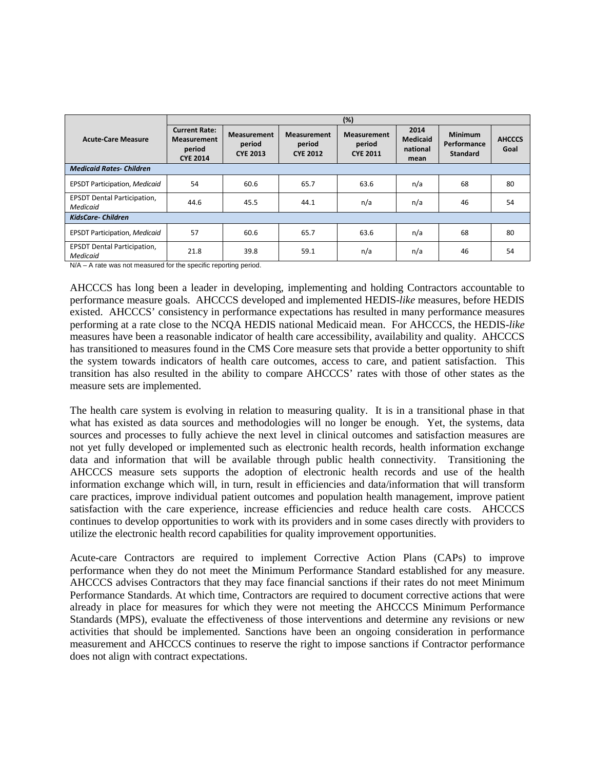|                                                | $(\%)$                                                                  |                                                 |                                                 |                                                 |                                             |                                                  |                       |  |
|------------------------------------------------|-------------------------------------------------------------------------|-------------------------------------------------|-------------------------------------------------|-------------------------------------------------|---------------------------------------------|--------------------------------------------------|-----------------------|--|
| <b>Acute-Care Measure</b>                      | <b>Current Rate:</b><br><b>Measurement</b><br>period<br><b>CYE 2014</b> | <b>Measurement</b><br>period<br><b>CYE 2013</b> | <b>Measurement</b><br>period<br><b>CYE 2012</b> | <b>Measurement</b><br>period<br><b>CYE 2011</b> | 2014<br><b>Medicaid</b><br>national<br>mean | <b>Minimum</b><br>Performance<br><b>Standard</b> | <b>AHCCCS</b><br>Goal |  |
| <b>Medicaid Rates- Children</b>                |                                                                         |                                                 |                                                 |                                                 |                                             |                                                  |                       |  |
| <b>EPSDT Participation, Medicaid</b>           | 54                                                                      | 60.6                                            | 65.7                                            | 63.6                                            | n/a                                         | 68                                               | 80                    |  |
| <b>EPSDT Dental Participation,</b><br>Medicaid | 44.6                                                                    | 45.5                                            | 44.1                                            | n/a                                             | n/a                                         | 46                                               | 54                    |  |
| <b>KidsCare-Children</b>                       |                                                                         |                                                 |                                                 |                                                 |                                             |                                                  |                       |  |
| <b>EPSDT Participation, Medicaid</b>           | 57                                                                      | 60.6                                            | 65.7                                            | 63.6                                            | n/a                                         | 68                                               | 80                    |  |
| <b>EPSDT Dental Participation,</b><br>Medicaid | 21.8                                                                    | 39.8                                            | 59.1                                            | n/a                                             | n/a                                         | 46                                               | 54                    |  |

N/A – A rate was not measured for the specific reporting period.

AHCCCS has long been a leader in developing, implementing and holding Contractors accountable to performance measure goals. AHCCCS developed and implemented HEDIS-*like* measures, before HEDIS existed. AHCCCS' consistency in performance expectations has resulted in many performance measures performing at a rate close to the NCQA HEDIS national Medicaid mean. For AHCCCS, the HEDIS-*like* measures have been a reasonable indicator of health care accessibility, availability and quality. AHCCCS has transitioned to measures found in the CMS Core measure sets that provide a better opportunity to shift the system towards indicators of health care outcomes, access to care, and patient satisfaction. This transition has also resulted in the ability to compare AHCCCS' rates with those of other states as the measure sets are implemented.

The health care system is evolving in relation to measuring quality. It is in a transitional phase in that what has existed as data sources and methodologies will no longer be enough. Yet, the systems, data sources and processes to fully achieve the next level in clinical outcomes and satisfaction measures are not yet fully developed or implemented such as electronic health records, health information exchange data and information that will be available through public health connectivity. Transitioning the AHCCCS measure sets supports the adoption of electronic health records and use of the health information exchange which will, in turn, result in efficiencies and data/information that will transform care practices, improve individual patient outcomes and population health management, improve patient satisfaction with the care experience, increase efficiencies and reduce health care costs. AHCCCS continues to develop opportunities to work with its providers and in some cases directly with providers to utilize the electronic health record capabilities for quality improvement opportunities.

Acute-care Contractors are required to implement Corrective Action Plans (CAPs) to improve performance when they do not meet the Minimum Performance Standard established for any measure. AHCCCS advises Contractors that they may face financial sanctions if their rates do not meet Minimum Performance Standards. At which time, Contractors are required to document corrective actions that were already in place for measures for which they were not meeting the AHCCCS Minimum Performance Standards (MPS), evaluate the effectiveness of those interventions and determine any revisions or new activities that should be implemented. Sanctions have been an ongoing consideration in performance measurement and AHCCCS continues to reserve the right to impose sanctions if Contractor performance does not align with contract expectations.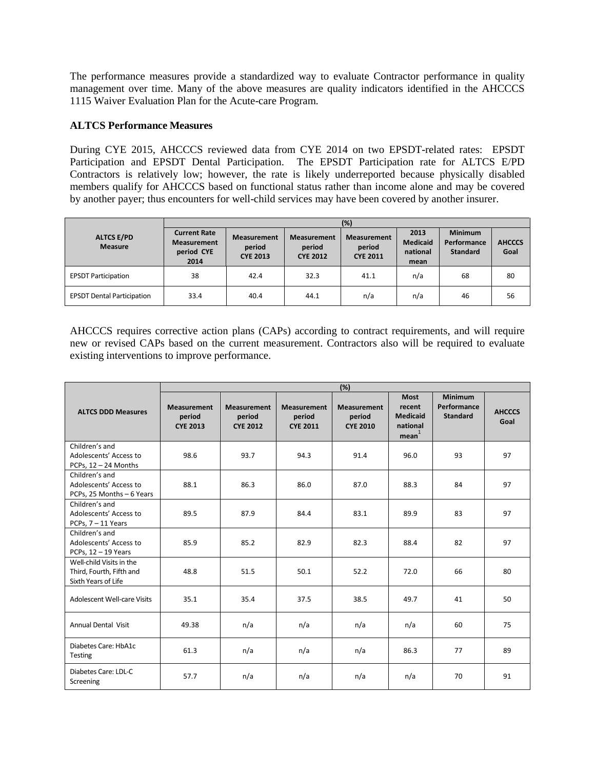The performance measures provide a standardized way to evaluate Contractor performance in quality management over time. Many of the above measures are quality indicators identified in the AHCCCS 1115 Waiver Evaluation Plan for the Acute-care Program.

### **ALTCS Performance Measures**

During CYE 2015, AHCCCS reviewed data from CYE 2014 on two EPSDT-related rates: EPSDT Participation and EPSDT Dental Participation. The EPSDT Participation rate for ALTCS E/PD Contractors is relatively low; however, the rate is likely underreported because physically disabled members qualify for AHCCCS based on functional status rather than income alone and may be covered by another payer; thus encounters for well-child services may have been covered by another insurer.

|                                     | (%)                                                             |                                                 |                                                 |                                                 |                                             |                                           |                       |  |
|-------------------------------------|-----------------------------------------------------------------|-------------------------------------------------|-------------------------------------------------|-------------------------------------------------|---------------------------------------------|-------------------------------------------|-----------------------|--|
| <b>ALTCS E/PD</b><br><b>Measure</b> | <b>Current Rate</b><br><b>Measurement</b><br>period CYE<br>2014 | <b>Measurement</b><br>period<br><b>CYE 2013</b> | <b>Measurement</b><br>period<br><b>CYE 2012</b> | <b>Measurement</b><br>period<br><b>CYE 2011</b> | 2013<br><b>Medicaid</b><br>national<br>mean | Minimum<br>Performance<br><b>Standard</b> | <b>AHCCCS</b><br>Goal |  |
| <b>EPSDT Participation</b>          | 38                                                              | 42.4                                            | 32.3                                            | 41.1                                            | n/a                                         | 68                                        | 80                    |  |
| <b>EPSDT Dental Participation</b>   | 33.4                                                            | 40.4                                            | 44.1                                            | n/a                                             | n/a                                         | 46                                        | 56                    |  |

AHCCCS requires corrective action plans (CAPs) according to contract requirements, and will require new or revised CAPs based on the current measurement. Contractors also will be required to evaluate existing interventions to improve performance.

|                                                                             | (%)                                             |                                                 |                                                 |                                                 |                                                                           |                                                  |                       |
|-----------------------------------------------------------------------------|-------------------------------------------------|-------------------------------------------------|-------------------------------------------------|-------------------------------------------------|---------------------------------------------------------------------------|--------------------------------------------------|-----------------------|
| <b>ALTCS DDD Measures</b>                                                   | <b>Measurement</b><br>period<br><b>CYE 2013</b> | <b>Measurement</b><br>period<br><b>CYE 2012</b> | <b>Measurement</b><br>period<br><b>CYE 2011</b> | <b>Measurement</b><br>period<br><b>CYE 2010</b> | <b>Most</b><br>recent<br><b>Medicaid</b><br>national<br>mean <sup>1</sup> | <b>Minimum</b><br>Performance<br><b>Standard</b> | <b>AHCCCS</b><br>Goal |
| Children's and                                                              |                                                 |                                                 |                                                 |                                                 |                                                                           |                                                  |                       |
| Adolescents' Access to                                                      | 98.6                                            | 93.7                                            | 94.3                                            | 91.4                                            | 96.0                                                                      | 93                                               | 97                    |
| PCPs, $12 - 24$ Months                                                      |                                                 |                                                 |                                                 |                                                 |                                                                           |                                                  |                       |
| Children's and<br>Adolescents' Access to<br>PCPs, 25 Months - 6 Years       | 88.1                                            | 86.3                                            | 86.0                                            | 87.0                                            | 88.3                                                                      | 84                                               | 97                    |
| Children's and<br>Adolescents' Access to<br>PCPs, $7 - 11$ Years            | 89.5                                            | 87.9                                            | 84.4                                            | 83.1                                            | 89.9                                                                      | 83                                               | 97                    |
| Children's and<br>Adolescents' Access to<br>PCPs, 12 - 19 Years             | 85.9                                            | 85.2                                            | 82.9                                            | 82.3                                            | 88.4                                                                      | 82                                               | 97                    |
| Well-child Visits in the<br>Third, Fourth, Fifth and<br>Sixth Years of Life | 48.8                                            | 51.5                                            | 50.1                                            | 52.2                                            | 72.0                                                                      | 66                                               | 80                    |
| Adolescent Well-care Visits                                                 | 35.1                                            | 35.4                                            | 37.5                                            | 38.5                                            | 49.7                                                                      | 41                                               | 50                    |
| <b>Annual Dental Visit</b>                                                  | 49.38                                           | n/a                                             | n/a                                             | n/a                                             | n/a                                                                       | 60                                               | 75                    |
| Diabetes Care: HbA1c<br><b>Testing</b>                                      | 61.3                                            | n/a                                             | n/a                                             | n/a                                             | 86.3                                                                      | 77                                               | 89                    |
| Diabetes Care: LDL-C<br>Screening                                           | 57.7                                            | n/a                                             | n/a                                             | n/a                                             | n/a                                                                       | 70                                               | 91                    |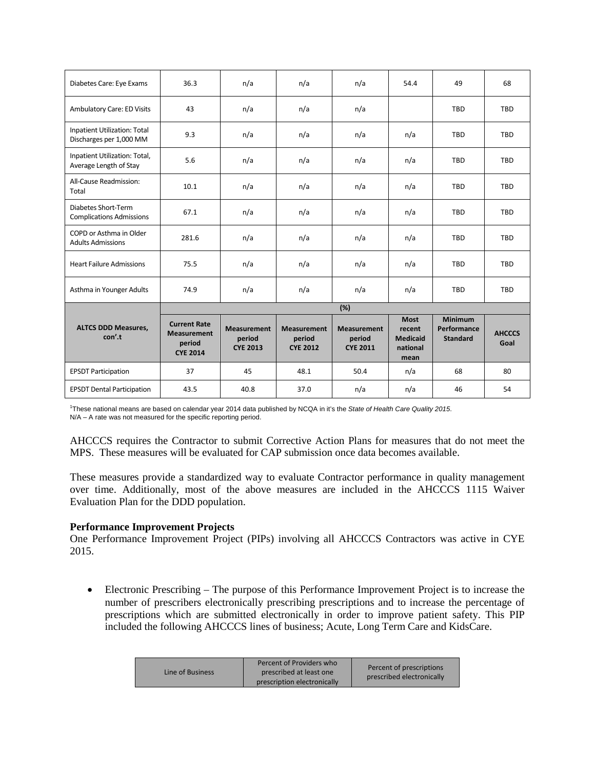| Diabetes Care: Eye Exams                                | 36.3                                                                   | n/a                                             | n/a                                             | n/a                                             | 54.4                                                         | 49                                        | 68                    |
|---------------------------------------------------------|------------------------------------------------------------------------|-------------------------------------------------|-------------------------------------------------|-------------------------------------------------|--------------------------------------------------------------|-------------------------------------------|-----------------------|
| Ambulatory Care: ED Visits                              | 43                                                                     | n/a                                             | n/a                                             | n/a                                             |                                                              | <b>TBD</b>                                | <b>TBD</b>            |
| Inpatient Utilization: Total<br>Discharges per 1,000 MM | 9.3                                                                    | n/a                                             | n/a                                             | n/a                                             | n/a                                                          | TBD                                       | <b>TBD</b>            |
| Inpatient Utilization: Total,<br>Average Length of Stay | 5.6                                                                    | n/a                                             | n/a                                             | n/a                                             | n/a                                                          | TBD                                       | <b>TBD</b>            |
| All-Cause Readmission:<br>Total                         | 10.1                                                                   | n/a                                             | n/a                                             | n/a                                             | n/a                                                          | TBD                                       | <b>TBD</b>            |
| Diabetes Short-Term<br><b>Complications Admissions</b>  | 67.1                                                                   | n/a                                             | n/a                                             | n/a                                             | n/a                                                          | <b>TBD</b>                                | <b>TBD</b>            |
| COPD or Asthma in Older<br><b>Adults Admissions</b>     | 281.6                                                                  | n/a                                             | n/a                                             | n/a                                             | n/a                                                          | TBD                                       | <b>TBD</b>            |
| <b>Heart Failure Admissions</b>                         | 75.5                                                                   | n/a                                             | n/a                                             | n/a                                             | n/a                                                          | TBD                                       | <b>TBD</b>            |
| Asthma in Younger Adults                                | 74.9                                                                   | n/a                                             | n/a                                             | n/a                                             | n/a                                                          | <b>TBD</b>                                | <b>TBD</b>            |
|                                                         |                                                                        |                                                 |                                                 | (%)                                             |                                                              |                                           |                       |
| <b>ALTCS DDD Measures,</b><br>con'.t                    | <b>Current Rate</b><br><b>Measurement</b><br>period<br><b>CYE 2014</b> | <b>Measurement</b><br>period<br><b>CYE 2013</b> | <b>Measurement</b><br>period<br><b>CYE 2012</b> | <b>Measurement</b><br>period<br><b>CYE 2011</b> | <b>Most</b><br>recent<br><b>Medicaid</b><br>national<br>mean | Minimum<br>Performance<br><b>Standard</b> | <b>AHCCCS</b><br>Goal |
| <b>EPSDT Participation</b>                              | 37                                                                     | 45                                              | 48.1                                            | 50.4                                            | n/a                                                          | 68                                        | 80                    |
| <b>EPSDT Dental Participation</b>                       | 43.5                                                                   | 40.8                                            | 37.0                                            | n/a                                             | n/a                                                          | 46                                        | 54                    |

1 These national means are based on calendar year 2014 data published by NCQA in it's the *State of Health Care Quality 2015*. N/A – A rate was not measured for the specific reporting period.

AHCCCS requires the Contractor to submit Corrective Action Plans for measures that do not meet the MPS. These measures will be evaluated for CAP submission once data becomes available.

These measures provide a standardized way to evaluate Contractor performance in quality management over time. Additionally, most of the above measures are included in the AHCCCS 1115 Waiver Evaluation Plan for the DDD population.

### **Performance Improvement Projects**

One Performance Improvement Project (PIPs) involving all AHCCCS Contractors was active in CYE 2015.

• Electronic Prescribing – The purpose of this Performance Improvement Project is to increase the number of prescribers electronically prescribing prescriptions and to increase the percentage of prescriptions which are submitted electronically in order to improve patient safety. This PIP included the following AHCCCS lines of business; Acute, Long Term Care and KidsCare.

| Line of Business | Percent of Providers who<br>prescribed at least one<br>prescription electronically | Percent of prescriptions<br>prescribed electronically |
|------------------|------------------------------------------------------------------------------------|-------------------------------------------------------|
|------------------|------------------------------------------------------------------------------------|-------------------------------------------------------|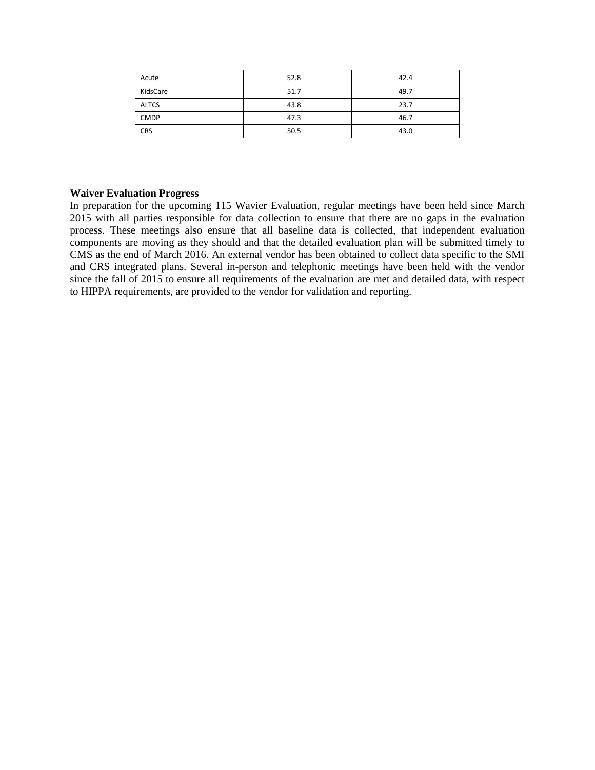| Acute        | 52.8 | 42.4 |
|--------------|------|------|
| KidsCare     | 51.7 | 49.7 |
| <b>ALTCS</b> | 43.8 | 23.7 |
| <b>CMDP</b>  | 47.3 | 46.7 |
| <b>CRS</b>   | 50.5 | 43.0 |

### **Waiver Evaluation Progress**

In preparation for the upcoming 115 Wavier Evaluation, regular meetings have been held since March 2015 with all parties responsible for data collection to ensure that there are no gaps in the evaluation process. These meetings also ensure that all baseline data is collected, that independent evaluation components are moving as they should and that the detailed evaluation plan will be submitted timely to CMS as the end of March 2016. An external vendor has been obtained to collect data specific to the SMI and CRS integrated plans. Several in-person and telephonic meetings have been held with the vendor since the fall of 2015 to ensure all requirements of the evaluation are met and detailed data, with respect to HIPPA requirements, are provided to the vendor for validation and reporting.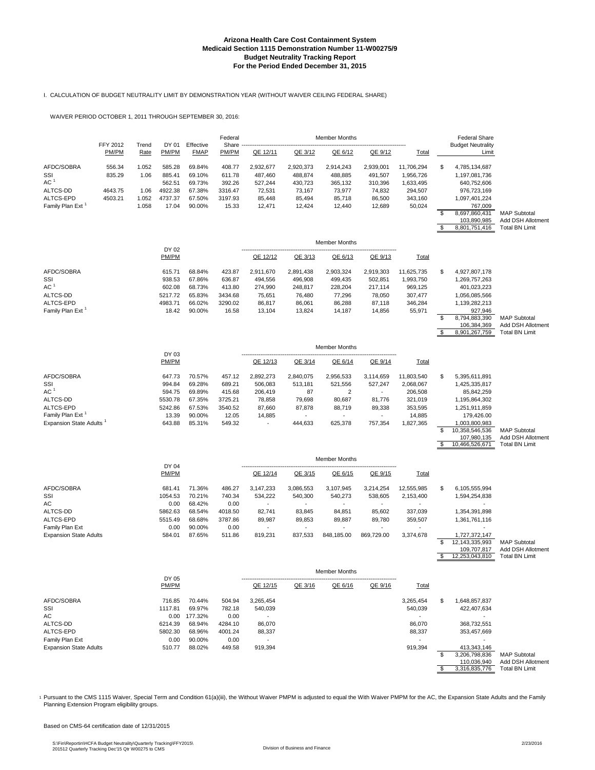#### I. CALCULATION OF BUDGET NEUTRALITY LIMIT BY DEMONSTRATION YEAR (WITHOUT WAIVER CEILING FEDERAL SHARE)

WAIVER PERIOD OCTOBER 1, 2011 THROUGH SEPTEMBER 30, 2016:

|                                     |                   |               |                |                          | Federal        |                          |           | <b>Member Months</b>    |            |              |          | <b>Federal Share</b>              |                       |
|-------------------------------------|-------------------|---------------|----------------|--------------------------|----------------|--------------------------|-----------|-------------------------|------------|--------------|----------|-----------------------------------|-----------------------|
|                                     | FFY 2012<br>PM/PM | Trend<br>Rate | DY 01<br>PM/PM | Effective<br><b>FMAP</b> | Share<br>PM/PM | QE 12/11                 | QE 3/12   | QE 6/12                 | QE 9/12    | Total        |          | <b>Budget Neutrality</b><br>Limit |                       |
| AFDC/SOBRA                          | 556.34            | 1.052         | 585.28         | 69.84%                   | 408.77         | 2,932,677                | 2,920,373 | 2,914,243               | 2,939,001  | 11,706,294   | S        | 4,785,134,687                     |                       |
| SSI                                 | 835.29            | 1.06          | 885.41         | 69.10%                   | 611.78         | 487,460                  | 488,874   | 488,885                 | 491,507    | 1,956,726    |          | 1,197,081,736                     |                       |
| AC <sup>1</sup>                     |                   |               | 562.51         | 69.73%                   | 392.26         | 527,244                  | 430,723   | 365,132                 | 310,396    | 1,633,495    |          | 640,752,606                       |                       |
| ALTCS-DD                            | 4643.75           | 1.06          | 4922.38        | 67.38%                   | 3316.47        | 72,531                   | 73,167    | 73,977                  | 74,832     | 294,507      |          | 976,723,169                       |                       |
| ALTCS-EPD                           | 4503.21           | 1.052         | 4737.37        | 67.50%                   | 3197.93        | 85,448                   | 85,494    | 85,718                  | 86,500     | 343,160      |          | 1,097,401,224                     |                       |
| Family Plan Ext <sup>1</sup>        |                   | 1.058         | 17.04          | 90.00%                   | 15.33          | 12,471                   | 12,424    | 12,440                  | 12,689     | 50,024       |          | 767,009                           |                       |
|                                     |                   |               |                |                          |                |                          |           |                         |            |              | S        | 8,697,860,431                     | <b>MAP Subtotal</b>   |
|                                     |                   |               |                |                          |                |                          |           |                         |            |              |          | 103,890,985                       | Add DSH Allotment     |
|                                     |                   |               |                |                          |                |                          |           |                         |            |              | S,       | 8,801,751,416                     | <b>Total BN Limit</b> |
|                                     |                   |               |                |                          |                |                          |           | Member Months           |            |              |          |                                   |                       |
|                                     |                   |               | DY 02          |                          |                |                          |           |                         |            |              |          |                                   |                       |
|                                     |                   |               | PM/PM          |                          |                | QE 12/12                 | QE 3/13   | QE 6/13                 | QE 9/13    | Total        |          |                                   |                       |
| AFDC/SOBRA                          |                   |               | 615.71         | 68.84%                   | 423.87         | 2,911,670                | 2,891,438 | 2,903,324               | 2,919,303  | 11,625,735   | \$       | 4,927,807,178                     |                       |
| SSI                                 |                   |               | 938.53         | 67.86%                   | 636.87         | 494,556                  | 496,908   | 499,435                 | 502,851    | 1,993,750    |          | 1,269,757,263                     |                       |
| AC <sup>1</sup>                     |                   |               | 602.08         | 68.73%                   | 413.80         | 274,990                  | 248,817   | 228,204                 | 217,114    | 969,125      |          | 401,023,223                       |                       |
| ALTCS-DD                            |                   |               | 5217.72        | 65.83%                   | 3434.68        | 75,651                   | 76,480    | 77,296                  | 78,050     | 307,477      |          | 1,056,085,566                     |                       |
| ALTCS-EPD                           |                   |               | 4983.71        | 66.02%                   | 3290.02        | 86,817                   | 86,061    | 86,288                  | 87,118     | 346,284      |          | 1,139,282,213                     |                       |
| Family Plan Ext <sup>1</sup>        |                   |               | 18.42          | 90.00%                   | 16.58          | 13,104                   | 13,824    | 14,187                  | 14,856     | 55,971       |          | 927,946                           |                       |
|                                     |                   |               |                |                          |                |                          |           |                         |            |              | <b>S</b> | 8,794,883,390                     | <b>MAP Subtotal</b>   |
|                                     |                   |               |                |                          |                |                          |           |                         |            |              |          | 106,384,369                       | Add DSH Allotment     |
|                                     |                   |               |                |                          |                |                          |           |                         |            |              | \$       | 8,901,267,759                     | <b>Total BN Limit</b> |
|                                     |                   |               |                |                          |                |                          |           | <b>Member Months</b>    |            |              |          |                                   |                       |
|                                     |                   |               | DY 03<br>PM/PM |                          |                | QE 12/13                 | QE 3/14   | QE 6/14                 | QE 9/14    | <b>Total</b> |          |                                   |                       |
|                                     |                   |               |                |                          |                |                          |           |                         |            |              |          |                                   |                       |
| AFDC/SOBRA                          |                   |               | 647.73         | 70.57%                   | 457.12         | 2,892,273                | 2,840,075 | 2,956,533               | 3,114,659  | 11,803,540   | \$       | 5,395,611,891                     |                       |
| SSI                                 |                   |               | 994.84         | 69.28%                   | 689.21         | 506,083                  | 513,181   | 521,556                 | 527,247    | 2,068,067    |          | 1,425,335,817                     |                       |
| AC <sup>1</sup>                     |                   |               | 594.75         | 69.89%                   | 415.68         | 206,419                  | 87        | $\overline{\mathbf{c}}$ | $\sim$     | 206,508      |          | 85,842,259                        |                       |
| ALTCS-DD                            |                   |               | 5530.78        | 67.35%                   | 3725.21        | 78,858                   | 79,698    | 80,687                  | 81,776     | 321,019      |          | 1,195,864,302                     |                       |
| ALTCS-EPD                           |                   |               | 5242.86        | 67.53%                   | 3540.52        | 87,660                   | 87,878    | 88,719                  | 89,338     | 353,595      |          | 1,251,911,859                     |                       |
| Family Plan Ext <sup>1</sup>        |                   |               | 13.39          | 90.00%                   | 12.05          | 14,885                   |           |                         |            | 14,885       |          | 179,426.00                        |                       |
| Expansion State Adults <sup>1</sup> |                   |               | 643.88         | 85.31%                   | 549.32         | $\overline{\phantom{a}}$ | 444,633   | 625,378                 | 757,354    | 1,827,365    |          | 1,003,800,983                     |                       |
|                                     |                   |               |                |                          |                |                          |           |                         |            |              | \$       | 10,358,546,536                    | <b>MAP Subtotal</b>   |
|                                     |                   |               |                |                          |                |                          |           |                         |            |              |          | 107,980,135                       | Add DSH Allotment     |
|                                     |                   |               |                |                          |                |                          |           |                         |            |              | \$       | 10,466,526,671                    | <b>Total BN Limit</b> |
|                                     |                   |               | DY 04          |                          |                |                          |           | <b>Member Months</b>    |            |              |          |                                   |                       |
|                                     |                   |               | PM/PM          |                          |                | QE 12/14                 | QE 3/15   | QE 6/15                 | QE 9/15    | Total        |          |                                   |                       |
| AFDC/SOBRA                          |                   |               | 681.41         | 71.36%                   | 486.27         | 3,147,233                | 3,086,553 | 3,107,945               | 3,214,254  | 12,555,985   | \$       | 6,105,555,994                     |                       |
| SSI                                 |                   |               | 1054.53        | 70.21%                   | 740.34         | 534,222                  | 540,300   | 540,273                 | 538,605    | 2,153,400    |          | 1,594,254,838                     |                       |
| AC                                  |                   |               | 0.00           | 68.42%                   | 0.00           | $\sim$                   |           |                         | $\sim$     |              |          |                                   |                       |
| ALTCS-DD                            |                   |               | 5862.63        | 68.54%                   | 4018.50        | 82,741                   | 83,845    | 84,851                  | 85,602     | 337,039      |          | 1,354,391,898                     |                       |
| ALTCS-EPD                           |                   |               | 5515.49        | 68.68%                   | 3787.86        | 89,987                   | 89,853    | 89,887                  | 89,780     | 359,507      |          | 1,361,761,116                     |                       |
| Family Plan Ext                     |                   |               | 0.00           | 90.00%                   | 0.00           |                          |           |                         |            |              |          |                                   |                       |
| <b>Expansion State Adults</b>       |                   |               | 584.01         | 87.65%                   | 511.86         | 819,231                  | 837,533   | 848,185.00              | 869,729.00 | 3,374,678    |          | 1,727,372,147                     |                       |
|                                     |                   |               |                |                          |                |                          |           |                         |            |              | <b>S</b> | 12,143,335,993                    | <b>MAP Subtotal</b>   |
|                                     |                   |               |                |                          |                |                          |           |                         |            |              |          | 109,707,817                       | Add DSH Allotment     |
|                                     |                   |               |                |                          |                |                          |           |                         |            |              | S        | 12,253,043,810                    | <b>Total BN Limit</b> |
|                                     |                   |               |                |                          |                |                          |           | <b>Member Months</b>    |            |              |          |                                   |                       |
|                                     |                   |               | DY 05<br>PM/PM |                          |                | QE 12/15                 | QE 3/16   | QE 6/16                 | QE 9/16    | Total        |          |                                   |                       |
|                                     |                   |               |                |                          |                |                          |           |                         |            |              |          |                                   |                       |
| AFDC/SOBRA                          |                   |               | 716.85         | 70.44%                   | 504.94         | 3,265,454                |           |                         |            | 3,265,454    | \$       | 1,648,857,837                     |                       |
| SSI                                 |                   |               | 1117.81        | 69.97%                   | 782.18         | 540,039                  |           |                         |            | 540,039      |          | 422,407,634                       |                       |
| AC                                  |                   |               | 0.00           | 177.32%                  | 0.00           |                          |           |                         |            | $\sim$       |          |                                   |                       |

| <sup>1</sup> Pursuant to the CMS 1115 Waiver, Special Term and Condition 61(a)(iii), the Without Waiver PMPM is adjusted to equal the With Waiver PMPM for the AC, the Expansion State Adults and the Family |
|--------------------------------------------------------------------------------------------------------------------------------------------------------------------------------------------------------------|
| Planning Extension Program eligibility groups.                                                                                                                                                               |

AC 0.00 177.32% 0.00 - - - ALTCS-DD 6214.39 68.94% 4284.10 86,070 86,070 368,732,551 ALTCS-EPD 5802.30 68.96% 4001.24 88,337 88,337 353,457,669 Family Plan Ext 0.00 90.00% 0.00 - - - Expansion State Adults 510.77 88.02% 449.58 919,394 919,394 413,343,146

\$ 3,206,798,836 MAP Subtotal<br>110,036,940 Add DSH Allot 110,036,940 Add DSH Allotment<br>
\$3,316,835,776 Total BN Limit 3,316,835,776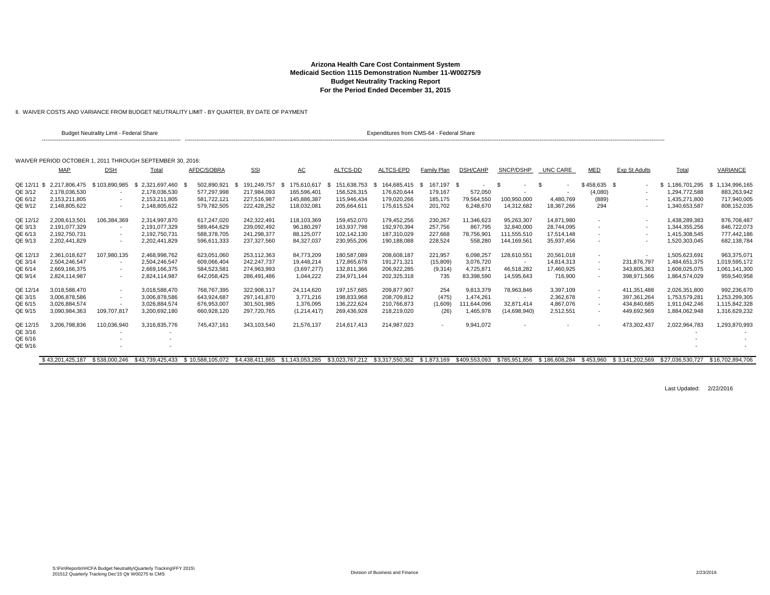II. WAIVER COSTS AND VARIANCE FROM BUDGET NEUTRALITY LIMIT - BY QUARTER, BY DATE OF PAYMENT

|             |                             | Budget Neutrality Limit - Federal Share |                                                           |                                                                                                                                              | Expenditures from CMS-64 - Federal Share |                     |                     |             |                    |               |                |                             |                          |                           |                                   |                      |
|-------------|-----------------------------|-----------------------------------------|-----------------------------------------------------------|----------------------------------------------------------------------------------------------------------------------------------------------|------------------------------------------|---------------------|---------------------|-------------|--------------------|---------------|----------------|-----------------------------|--------------------------|---------------------------|-----------------------------------|----------------------|
|             |                             |                                         | WAIVER PERIOD OCTOBER 1, 2011 THROUGH SEPTEMBER 30, 2016; |                                                                                                                                              |                                          |                     |                     |             |                    |               |                |                             |                          |                           |                                   |                      |
|             | MAP                         | <b>DSH</b>                              | <b>Total</b>                                              | AFDC/SOBRA                                                                                                                                   | <b>SSI</b>                               | <u>AC</u>           | ALTCS-DD            | ALTCS-EPD   | Family Plan        | DSH/CAHP      | SNCP/DSHP      | UNC CARE                    | <b>MED</b>               | <b>Exp St Adults</b>      | Total                             | VARIANCE             |
| QE 12/11 \$ | 2.217.806.475 \$103.890.985 |                                         | 2,321,697,460<br>- 95                                     | 502,890,921                                                                                                                                  | 191.249.757                              | 175.610.617<br>- \$ | 151,638,753<br>- \$ | 164,685,415 | 167,197 \$<br>- \$ | $\sim$        | - \$<br>$\sim$ | \$.                         | $$458,635$ \$            | $\overline{\phantom{a}}$  | \$1,186,701,295                   | 1,134,996,165<br>- S |
| QE 3/12     | 2,178,036,530               | $\overline{\phantom{a}}$                | 2,178,036,530                                             | 577.297.998                                                                                                                                  | 217.984.093                              | 165,596,401         | 156.526.315         | 176.620.644 | 179,167            | 572,050       |                |                             | (4,080)                  |                           | 1,294,772,588                     | 883,263,942          |
| QE 6/12     | 2.153.211.805               |                                         | 2.153.211.805                                             | 581,722,121                                                                                                                                  | 227,516,987                              | 145.886.387         | 115.946.434         | 179,020,266 | 185.175            | 79,564,550    | 100,950,000    | 4.480.769                   | (889)                    |                           | 1.435.271.800                     | 717,940,005          |
| QE 9/12     | 2,148,805,622               | $\overline{\phantom{0}}$                | 2.148.805.622                                             | 579,782,505                                                                                                                                  | 222,428,252                              | 118,032,081         | 205.664.611         | 175,615,524 | 201,702            | 6,248,670     | 14,312,682     | 18,367,266                  | 294                      |                           | 1,340,653,587                     | 808,152,035          |
| QE 12/12    | 2.208.613.501               | 106.384.369                             | 2.314.997.870                                             | 617.247.020                                                                                                                                  | 242.322.491                              | 118.103.369         | 159.452.070         | 179,452,256 | 230,267            | 11.346.623    | 95.263.307     | 14.871.980                  | ٠                        | $\overline{\phantom{a}}$  | 1.438.289.383                     | 876,708,487          |
| QE 3/13     | 2.191.077.329               | $\sim$                                  | 2.191.077.329                                             | 589.464.629                                                                                                                                  | 239,092,492                              | 96,180,297          | 163.937.798         | 192,970,394 | 257.756            | 867.795       | 32,840,000     | 28.744.095                  | ٠                        |                           | 1,344,355,256                     | 846,722,073          |
| QE 6/13     | 2.192.750.731               | $\sim$                                  | 2.192.750.731                                             | 588.378.705                                                                                                                                  | 241,298,377                              | 88,125,077          | 102.142.130         | 187,310,029 | 227.668            | 78,756,90     | 111.555.510    | 17.514.148                  | ٠                        |                           | 1.415.308.545                     | 777.442.186          |
| QE 9/13     | 2.202.441.829               | $\sim$                                  | 2.202.441.829                                             | 596.611.333                                                                                                                                  | 237,327,560                              | 84,327,037          | 230,955,206         | 190,188,088 | 228,524            | 558,280       | 144,169,561    | 35.937.456                  |                          |                           | 1,520,303,045                     | 682,138,784          |
| QE 12/13    | 2.361.018.627               | 107.980.135                             | 2.468.998.762                                             | 623.051.060                                                                                                                                  | 253.112.363                              | 84.773.209          | 180.587.089         | 208.608.187 | 221,957            | 6.098.257     | 128,610,551    | 20.561.018                  | $\sim$                   |                           | 1.505.623.691                     | 963.375.071          |
| QE 3/14     | 2.504.246.547               | $\overline{\phantom{a}}$                | 2.504.246.547                                             | 609.066.404                                                                                                                                  | 242.247.737                              | 19.448.214          | 172.865.678         | 191.271.321 | (15,809)           | 3.076.720     | $\sim$         | 14.814.313                  | $\overline{\phantom{a}}$ | 231,876,797               | 1.484.651.375                     | 1.019.595.172        |
| QE 6/14     | 2.669.166.375               | $\overline{a}$                          | 2.669.166.375                                             | 584,523,581                                                                                                                                  | 274,963,993                              | (3,697,277)         | 132.811.366         | 206,922,285 | (9,314)            | 4,725,871     | 46,518,282     | 17,460,925                  | $\overline{\phantom{a}}$ | 343,805,363               | 1,608,025,075                     | 1,061,141,300        |
| QE 9/14     | 2,824,114,987               | $\sim$                                  | 2,824,114,987                                             | 642,058,425                                                                                                                                  | 286,491,486                              | 1,044,222           | 234,971,144         | 202,325,318 | 735                | 83,398,590    | 14,595,643     | 716,900                     | $\overline{\phantom{a}}$ | 398,971,566               | 1,864,574,029                     | 959,540,958          |
| QE 12/14    | 3.018.588.470               | $\sim$                                  | 3,018,588,470                                             | 768,767,395                                                                                                                                  | 322,908,117                              | 24,114,620          | 197, 157, 685       | 209,877,907 | 254                | 9,813,379     | 78,963,846     | 3,397,109                   | $\sim$                   | 411,351,488               | 2,026,351,800                     | 992,236,670          |
| QE 3/15     | 3,006,878,586               | $\overline{\phantom{a}}$                | 3,006,878,586                                             | 643,924,687                                                                                                                                  | 297,141,870                              | 3,771,216           | 198,833,968         | 208,709,812 | (475)              | 1.474.261     | $\sim$         | 2,362,678                   | $\sim$                   | 397,361,264               | 1,753,579,281                     | 1,253,299,305        |
| QE 6/15     | 3.026.884.574               | $\overline{\phantom{a}}$                | 3.026.884.574                                             | 676,953,007                                                                                                                                  | 301,501,985                              | 1,376,095           | 136.222.624         | 210,766,873 | (1,609)            | 111.644.096   | 32,871,414     | 4,867,076                   | $\sim$                   | 434,840,685               | 1,911,042,246                     | 1,115,842,328        |
| QE 9/15     | 3,090,984,363               | 109,707,817                             | 3,200,692,180                                             | 660,928,120                                                                                                                                  | 297,720,765                              | (1,214,417)         | 269,436,928         | 218,219,020 | (26)               | 1,465,978     | (14,698,940)   | 2,512,551                   | $\overline{\phantom{0}}$ | 449,692,969               | 1,884,062,948                     | 1,316,629,232        |
| QE 12/15    | 3.206.798.836               | 110,036,940                             | 3.316.835.776                                             | 745.437.161                                                                                                                                  | 343,103,540                              | 21.576.137          | 214.617.413         | 214.987.023 | $\overline{a}$     | 9.941.072     |                |                             |                          | 473.302.437               | 2,022,964,783                     | 1,293,870,993        |
| QE 3/16     |                             |                                         |                                                           |                                                                                                                                              |                                          |                     |                     |             |                    |               |                |                             |                          |                           |                                   |                      |
| QE 6/16     |                             |                                         | $\overline{\phantom{a}}$                                  |                                                                                                                                              |                                          |                     |                     |             |                    |               |                |                             |                          |                           |                                   |                      |
| QE 9/16     |                             | $\overline{\phantom{a}}$                |                                                           |                                                                                                                                              |                                          |                     |                     |             |                    |               |                |                             |                          |                           |                                   |                      |
|             |                             |                                         |                                                           | \$43,201.425.187 \$538,000.246 \$43,739.425.433 \$10.588.105.072 \$4.438.411.865 \$1.143.053.285 \$3.023.767.212 \$3.317.550.362 \$1.873.169 |                                          |                     |                     |             |                    | \$409.553.093 |                | \$785.951.856 \$186.608.284 |                          | \$453.960 \$3.141.202.569 | \$27.036.530.727 \$16.702.894.706 |                      |

Last Updated: 2/22/2016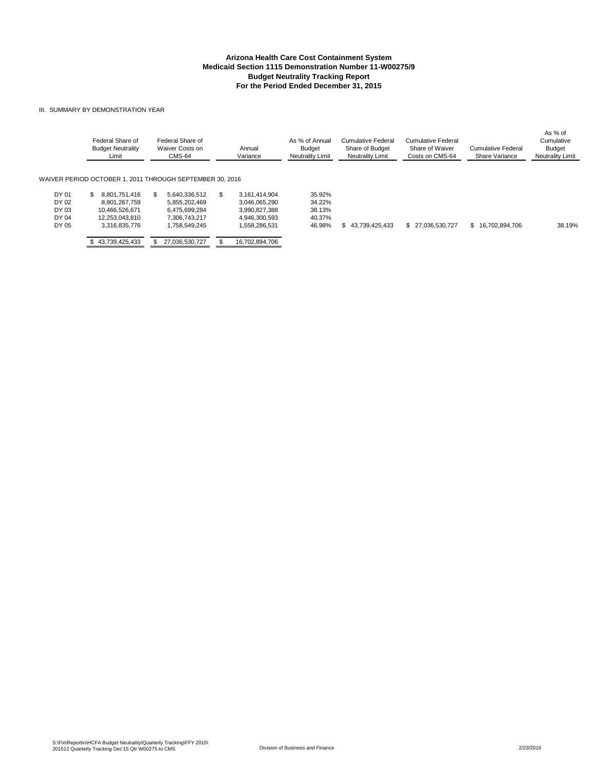#### III. SUMMARY BY DEMONSTRATION YEAR

|                                           | Federal Share of<br><b>Budget Neutrality</b><br>Limit                                     | Federal Share of<br>Waiver Costs on<br><b>CMS-64</b>                                     | Annual<br>Variance                                                                      | As % of Annual<br>Budget<br>Neutrality Limit   |     | <b>Cumulative Federal</b><br>Share of Budget<br>Neutrality Limit | Cumulative Federal<br>Share of Waiver<br>Costs on CMS-64 | Cumulative Federal<br>Share Variance | As % of<br>Cumulative<br>Budget<br><b>Neutrality Limit</b> |
|-------------------------------------------|-------------------------------------------------------------------------------------------|------------------------------------------------------------------------------------------|-----------------------------------------------------------------------------------------|------------------------------------------------|-----|------------------------------------------------------------------|----------------------------------------------------------|--------------------------------------|------------------------------------------------------------|
|                                           | WAIVER PERIOD OCTOBER 1. 2011 THROUGH SEPTEMBER 30. 2016                                  |                                                                                          |                                                                                         |                                                |     |                                                                  |                                                          |                                      |                                                            |
| DY 01<br>DY 02<br>DY 03<br>DY 04<br>DY 05 | 8.801.751.416<br>S.<br>8.901.267.759<br>10.466.526.671<br>12.253.043.810<br>3.316.835.776 | 5.640.336.512<br>SS.<br>5.855.202.469<br>6.475.699.284<br>7.306.743.217<br>1.758.549.245 | \$<br>3.161.414.904<br>3,046,065,290<br>3,990,827,388<br>4.946.300.593<br>1.558.286.531 | 35.92%<br>34.22%<br>38.13%<br>40.37%<br>46.98% | \$. | 43.739.425.433                                                   | \$ 27.036.530.727                                        | \$16.702.894.706                     | 38.19%                                                     |
|                                           | \$43,739,425,433                                                                          | 27.036.530.727                                                                           | 16.702.894.706                                                                          |                                                |     |                                                                  |                                                          |                                      |                                                            |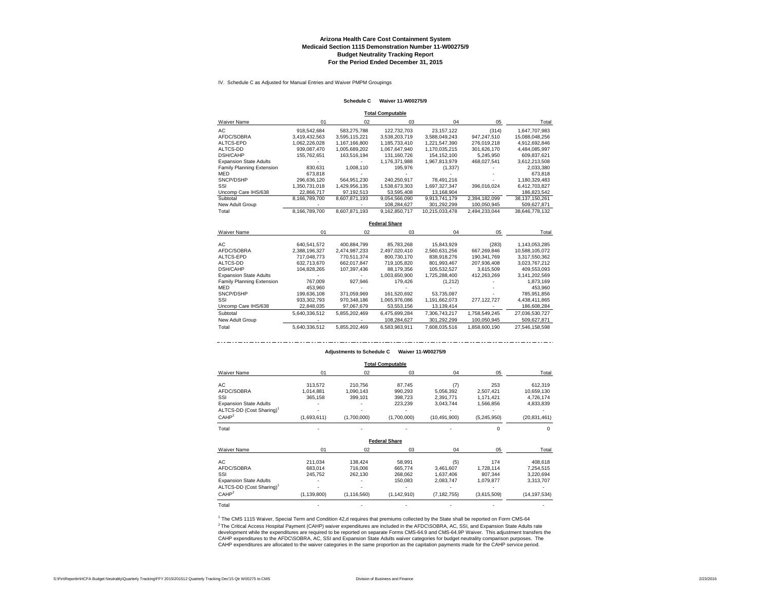IV. Schedule C as Adjusted for Manual Entries and Waiver PMPM Groupings

#### **Schedule C Waiver 11-W00275/9**

**Total Computable**

| <b>Waiver Name</b>            | 01            | 02            | 03            | 04             | 05            | Total          |
|-------------------------------|---------------|---------------|---------------|----------------|---------------|----------------|
| AC                            | 918.542.684   | 583.275.788   | 122.732.703   | 23.157.122     | (314)         | 1.647.707.983  |
| AFDC/SOBRA                    | 3.419.432.563 | 3.595.115.221 | 3.538.203.719 | 3.588.049.243  | 947.247.510   | 15,088,048,256 |
| ALTCS-EPD                     | 1.062.226.028 | 1.167.166.800 | 1.185.733.410 | 1.221.547.390  | 276.019.218   | 4.912.692.846  |
| ALTCS-DD                      | 939.087.470   | 1.005.689.202 | 1.067.647.940 | 1.170.035.215  | 301,626,170   | 4.484.085.997  |
| <b>DSH/CAHP</b>               | 155.762.651   | 163.516.194   | 131.160.726   | 154.152.100    | 5.245.950     | 609.837.621    |
| <b>Expansion State Adults</b> |               |               | 1.176.371.988 | 1,967,813,979  | 468.027.541   | 3.612.213.508  |
| Family Planning Extension     | 830.631       | 1.008.110     | 195.976       | (1,337)        |               | 2,033,380      |
| MED                           | 673.818       |               |               |                |               | 673.818        |
| SNCP/DSHP                     | 296.636.120   | 564.951.230   | 240.250.917   | 78.491.216     |               | 1,180,329,483  |
| SSI                           | 1.350.731.018 | 1.429.956.135 | 1.538.673.303 | 1.697.327.347  | 396.016.024   | 6.412.703.827  |
| Uncomp Care IHS/638           | 22,866,717    | 97,192,513    | 53,595,408    | 13,168,904     |               | 186,823,542    |
| Subtotal                      | 8.166.789.700 | 8.607.871.193 | 9.054.566.090 | 9.913.741.179  | 2.394.182.099 | 38,137,150,261 |
| New Adult Group               |               |               | 108,284,627   | 301.292.299    | 100.050.945   | 509,627,871    |
| Total                         | 8.166.789.700 | 8,607,871,193 | 9.162.850.717 | 10.215.033.478 | 2.494.233.044 | 38.646.778.132 |
|                               |               |               |               |                |               |                |

**Federal Share**

| <b>Waiver Name</b>            | 01            | 02            | 03            | 04            | 05            | Total          |
|-------------------------------|---------------|---------------|---------------|---------------|---------------|----------------|
| AC                            | 640.541.572   | 400.884.799   | 85.783.268    | 15.843.929    | (283)         | 1.143.053.285  |
| AFDC/SOBRA                    | 2.388.196.327 | 2.474.987.233 | 2.497.020.410 | 2.560.631.256 | 667.269.846   | 10.588.105.072 |
| ALTCS-EPD                     | 717.048.773   | 770.511.374   | 800.730.170   | 838.918.276   | 190.341.769   | 3.317.550.362  |
| ALTCS-DD                      | 632.713.670   | 662.017.847   | 719.105.820   | 801.993.467   | 207.936.408   | 3.023.767.212  |
| <b>DSH/CAHP</b>               | 104,828,265   | 107,397,436   | 88.179.356    | 105.532.527   | 3.615.509     | 409.553.093    |
| <b>Expansion State Adults</b> |               |               | 1.003.650.900 | 1,725,288,400 | 412.263.269   | 3,141,202,569  |
| Family Planning Extension     | 767.009       | 927.946       | 179.426       | (1,212)       |               | 1.873.169      |
| MED                           | 453.960       |               |               |               |               | 453.960        |
| SNCP/DSHP                     | 199.636.108   | 371.059.969   | 161.520.692   | 53.735.087    |               | 785.951.856    |
| SSI                           | 933.302.793   | 970.348.186   | 1.065.976.086 | 1.191.662.073 | 277.122.727   | 4,438,411,865  |
| Uncomp Care IHS/638           | 22.848.035    | 97.067.679    | 53.553.156    | 13,139,414    |               | 186,608,284    |
| Subtotal                      | 5.640.336.512 | 5.855.202.469 | 6,475,699,284 | 7.306.743.217 | 1,758,549,245 | 27,036,530,727 |
| New Adult Group               |               |               | 108.284.627   | 301.292.299   | 100.050.945   | 509.627.871    |
| Total                         | 5.640.336.512 | 5.855.202.469 | 6.583.983.911 | 7.608.035.516 | 1.858.600.190 | 27.546.158.598 |

#### **Adjustments to Schedule C Waiver 11-W00275/9**

|                                      |             |               | <b>Total Computable</b> |                |               |                |
|--------------------------------------|-------------|---------------|-------------------------|----------------|---------------|----------------|
| Waiver Name                          | 01          | 02            | 03                      | 04             | 05            | Total          |
| AС                                   | 313,572     | 210,756       | 87,745                  | (7)            | 253           | 612,319        |
| AFDC/SOBRA                           | 1,014,881   | 1,090,143     | 990,293                 | 5,056,392      | 2,507,421     | 10,659,130     |
| SSI                                  | 365,158     | 399,101       | 398,723                 | 2,391,771      | 1,171,421     | 4,726,174      |
| <b>Expansion State Adults</b>        |             |               | 223,239                 | 3,043,744      | 1,566,856     | 4,833,839      |
| ALTCS-DD (Cost Sharing) <sup>1</sup> |             |               |                         |                |               |                |
| CAHP <sup>2</sup>                    | (1,693,611) | (1,700,000)   | (1,700,000)             | (10, 491, 900) | (5, 245, 950) | (20, 831, 461) |
| Total                                |             |               |                         |                | $\Omega$      | 0              |
|                                      |             |               | <b>Federal Share</b>    |                |               |                |
| Waiver Name                          | 01          | 02            | 03                      | 04             | 05            | Total          |
| АC                                   | 211,034     | 138,424       | 58,991                  | (5)            | 174           | 408,618        |
| AFDC/SOBRA                           | 683.014     | 716,006       | 665.774                 | 3,461,607      | 1,728,114     | 7,254,515      |
| SSI                                  | 245,752     | 262,130       | 268,062                 | 1,637,406      | 807.344       | 3,220,694      |
| <b>Expansion State Adults</b>        |             |               | 150,083                 | 2,083,747      | 1,079,877     | 3,313,707      |
| ALTCS-DD (Cost Sharing) <sup>1</sup> |             |               |                         |                |               |                |
| CAHP <sup>2</sup>                    | (1.139.800) | (1, 116, 560) | (1.142.910)             | (7.182.755)    | (3,615,509)   | (14, 197, 534) |

<sup>2</sup> The Critical Access Hospital Payment (CAHP) waiver expenditures are included in the AFDC\SOBRA, AC, SSI, and Expansion State Adults rate<br>development while the expenditures are required to be reported on separate Forms CAHP expenditures to the AFDC\SOBRA, AC, SSI and Expansion State Adults waiver categories for budget neutrality comparison purposes. The CAHP expenditures are allocated to the waiver categories in the same proportion as the capitation payments made for the CAHP service period. 1 The CMS 1115 Waiver, Special Term and Condition 42,d requires that premiums collected by the State shall be reported on Form CMS-64

Total - - - - - -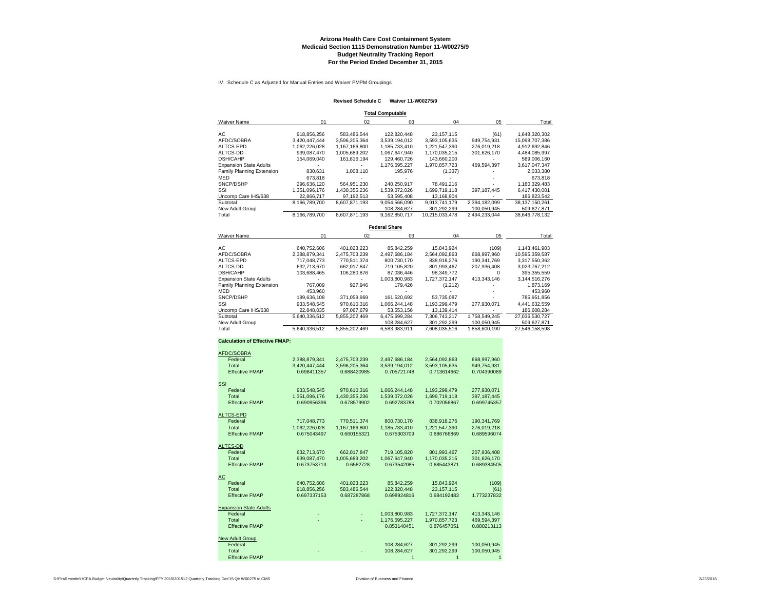### **Arizona Health Care Cost Containment System Medicaid Section 1115 Demonstration Number 11-W00275/9 Budget Neutrality Tracking Report For the Period Ended December 31, 2015**

IV. Schedule C as Adjusted for Manual Entries and Waiver PMPM Groupings

#### **Revised Schedule C Waiver 11-W00275/9**

| <b>Total Computable</b> |  |
|-------------------------|--|

| Waiver Name                   | 01            | 02            | 03            | 04             | 05            | Total          |
|-------------------------------|---------------|---------------|---------------|----------------|---------------|----------------|
| АC                            | 918.856.256   | 583.486.544   | 122.820.448   | 23.157.115     | (61)          | 1.648.320.302  |
| AFDC/SOBRA                    | 3.420.447.444 | 3.596.205.364 | 3.539.194.012 | 3.593.105.635  | 949.754.931   | 15.098.707.386 |
| ALTCS-EPD                     | 1.062.226.028 | 1.167.166.800 | 1.185.733.410 | 1.221.547.390  | 276.019.218   | 4.912.692.846  |
| ALTCS-DD                      | 939.087.470   | 1.005.689.202 | 1.067.647.940 | 1.170.035.215  | 301.626.170   | 4.484.085.997  |
| DSH/CAHP                      | 154.069.040   | 161.816.194   | 129.460.726   | 143.660.200    |               | 589.006.160    |
| <b>Expansion State Adults</b> |               |               | 1.176.595.227 | 1,970,857,723  | 469.594.397   | 3,617,047,347  |
| Family Planning Extension     | 830.631       | 1.008.110     | 195.976       | (1, 337)       |               | 2,033,380      |
| MED                           | 673.818       |               |               |                |               | 673.818        |
| SNCP/DSHP                     | 296.636.120   | 564.951.230   | 240.250.917   | 78.491.216     |               | 1.180.329.483  |
| SSI                           | 1.351.096.176 | 1.430.355.236 | 1.539.072.026 | 1.699.719.118  | 397, 187, 445 | 6,417,430,001  |
| Uncomp Care IHS/638           | 22.866.717    | 97.192.513    | 53.595.408    | 13.168.904     |               | 186.823.542    |
| Subtotal                      | 8.166.789.700 | 8.607.871.193 | 9.054.566.090 | 9.913.741.179  | 2.394.182.099 | 38.137.150.261 |
| New Adult Group               |               |               | 108.284.627   | 301.292.299    | 100.050.945   | 509.627.871    |
| Total                         | 8,166,789,700 | 8.607.871.193 | 9.162.850.717 | 10.215.033.478 | 2.494.233.044 | 38.646.778.132 |

**Federal Share**

| <b>Waiver Name</b>            | 01            | 02            | 03            | 04            | 05            | Total          |
|-------------------------------|---------------|---------------|---------------|---------------|---------------|----------------|
|                               |               |               |               |               |               |                |
| AC.                           | 640.752.606   | 401.023.223   | 85.842.259    | 15.843.924    | (109)         | 1.143.461.903  |
| AFDC/SOBRA                    | 2.388.879.341 | 2.475.703.239 | 2.497.686.184 | 2.564.092.863 | 668.997.960   | 10.595.359.587 |
| ALTCS-EPD                     | 717.048.773   | 770.511.374   | 800.730.170   | 838.918.276   | 190.341.769   | 3.317.550.362  |
| ALTCS-DD                      | 632.713.670   | 662.017.847   | 719.105.820   | 801.993.467   | 207.936.408   | 3.023.767.212  |
| <b>DSH/CAHP</b>               | 103.688.465   | 106.280.876   | 87.036.446    | 98.349.772    | $\Omega$      | 395.355.559    |
| <b>Expansion State Adults</b> |               |               | 1.003.800.983 | 1.727.372.147 | 413.343.146   | 3.144.516.276  |
| Family Planning Extension     | 767.009       | 927.946       | 179.426       | (1,212)       |               | 1,873,169      |
| <b>MED</b>                    | 453.960       |               |               |               |               | 453.960        |
| SNCP/DSHP                     | 199.636.108   | 371.059.969   | 161.520.692   | 53.735.087    |               | 785.951.856    |
| SSI                           | 933.548.545   | 970.610.316   | 1.066.244.148 | 1.193.299.479 | 277.930.071   | 4.441.632.559  |
| Uncomp Care IHS/638           | 22.848.035    | 97.067.679    | 53.553.156    | 13.139.414    |               | 186.608.284    |
| Subtotal                      | 5.640.336.512 | 5.855.202.469 | 6.475.699.284 | 7.306.743.217 | 1.758.549.245 | 27.036.530.727 |
| New Adult Group               |               |               | 108.284.627   | 301.292.299   | 100.050.945   | 509.627.871    |
| Total                         | 5.640.336.512 | 5.855.202.469 | 6.583.983.911 | 7.608.035.516 | 1.858.600.190 | 27.546.158.598 |

#### **Calculation of Effective FMAP:**

| AFDC/SOBRA                    |               |               |               |               |             |
|-------------------------------|---------------|---------------|---------------|---------------|-------------|
| Federal                       | 2,388,879,341 | 2,475,703,239 | 2,497,686,184 | 2,564,092,863 | 668,997,960 |
| Total                         | 3,420,447,444 | 3,596,205,364 | 3,539,194,012 | 3,593,105,635 | 949.754.931 |
| <b>Effective FMAP</b>         | 0.698411357   | 0.688420985   | 0.705721748   | 0.713614662   | 0.704390089 |
| <b>SSI</b>                    |               |               |               |               |             |
| Federal                       | 933,548,545   | 970,610,316   | 1,066,244,148 | 1,193,299,479 | 277,930,071 |
| Total                         | 1,351,096,176 | 1,430,355,236 | 1,539,072,026 | 1,699,719,118 | 397.187.445 |
| <b>Effective FMAP</b>         | 0.690956396   | 0.678579902   | 0.692783788   | 0.702056867   | 0.699745357 |
| <b>ALTCS-EPD</b>              |               |               |               |               |             |
| Federal                       | 717,048,773   | 770,511,374   | 800,730,170   | 838,918,276   | 190.341.769 |
| Total                         | 1,062,226,028 | 1,167,166,800 | 1,185,733,410 | 1,221,547,390 | 276,019,218 |
| <b>Effective FMAP</b>         | 0.675043497   | 0.660155321   | 0.675303709   | 0.686766869   | 0.689596074 |
| <b>ALTCS-DD</b>               |               |               |               |               |             |
| Federal                       | 632,713,670   | 662,017,847   | 719,105,820   | 801,993,467   | 207,936,408 |
| Total                         | 939,087,470   | 1,005,689,202 | 1,067,647,940 | 1,170,035,215 | 301,626,170 |
| <b>Effective FMAP</b>         | 0.673753713   | 0.6582728     | 0.673542085   | 0.685443871   | 0.689384505 |
| <u>AC</u>                     |               |               |               |               |             |
| Federal                       | 640,752,606   | 401,023,223   | 85,842,259    | 15,843,924    | (109)       |
| Total                         | 918,856,256   | 583,486,544   | 122,820,448   | 23, 157, 115  | (61)        |
| <b>Effective FMAP</b>         | 0.697337153   | 0.687287868   | 0.698924816   | 0.684192483   | 1.773237832 |
| <b>Expansion State Adults</b> |               |               |               |               |             |
| Federal                       |               |               | 1,003,800,983 | 1,727,372,147 | 413,343,146 |
| Total                         |               |               | 1.176.595.227 | 1.970.857.723 | 469.594.397 |
| <b>Effective FMAP</b>         |               |               | 0.853140451   | 0.876457051   | 0.880213113 |
| New Adult Group               |               |               |               |               |             |
| Federal                       |               |               | 108,284,627   | 301,292,299   | 100,050,945 |
| Total                         |               |               | 108.284.627   | 301.292.299   | 100,050,945 |
| <b>Effective FMAP</b>         |               |               |               |               |             |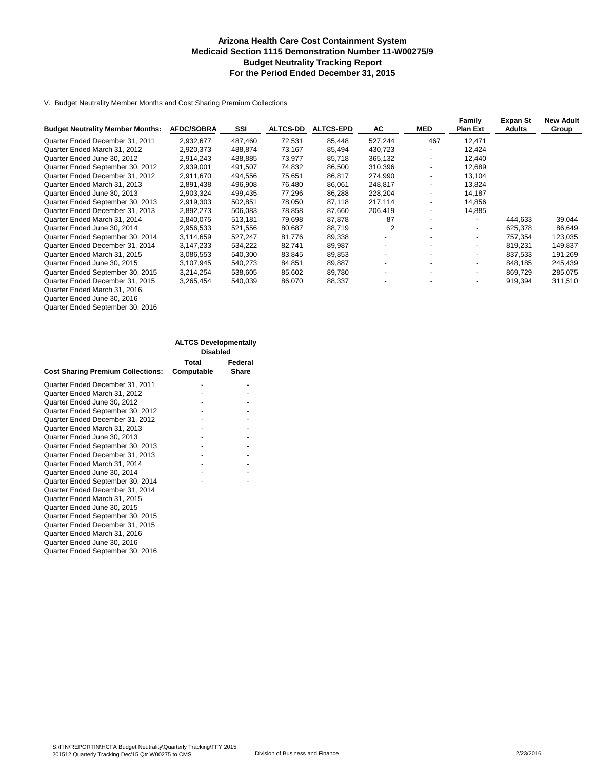### **Arizona Health Care Cost Containment System Medicaid Section 1115 Demonstration Number 11-W00275/9 Budget Neutrality Tracking Report For the Period Ended December 31, 2015**

V. Budget Neutrality Member Months and Cost Sharing Premium Collections

|                                         |                   |         |                 |                  |                          |                          | Family                   | <b>Expan St</b> | <b>New Adult</b> |
|-----------------------------------------|-------------------|---------|-----------------|------------------|--------------------------|--------------------------|--------------------------|-----------------|------------------|
| <b>Budget Neutrality Member Months:</b> | <b>AFDC/SOBRA</b> | SSI     | <b>ALTCS-DD</b> | <b>ALTCS-EPD</b> | AC                       | <b>MED</b>               | <b>Plan Ext</b>          | <b>Adults</b>   | Group            |
| Quarter Ended December 31, 2011         | 2,932,677         | 487,460 | 72,531          | 85,448           | 527,244                  | 467                      | 12,471                   |                 |                  |
| Quarter Ended March 31, 2012            | 2,920,373         | 488,874 | 73,167          | 85,494           | 430,723                  | $\overline{\phantom{a}}$ | 12,424                   |                 |                  |
| Quarter Ended June 30, 2012             | 2,914,243         | 488,885 | 73,977          | 85,718           | 365,132                  | $\blacksquare$           | 12,440                   |                 |                  |
| Quarter Ended September 30, 2012        | 2,939,001         | 491,507 | 74,832          | 86,500           | 310,396                  | $\blacksquare$           | 12,689                   |                 |                  |
| Quarter Ended December 31, 2012         | 2,911,670         | 494,556 | 75,651          | 86,817           | 274.990                  |                          | 13.104                   |                 |                  |
| Quarter Ended March 31, 2013            | 2,891,438         | 496,908 | 76,480          | 86,061           | 248,817                  | $\blacksquare$           | 13,824                   |                 |                  |
| Quarter Ended June 30, 2013             | 2,903,324         | 499,435 | 77,296          | 86,288           | 228,204                  | $\overline{\phantom{a}}$ | 14,187                   |                 |                  |
| Quarter Ended September 30, 2013        | 2,919,303         | 502,851 | 78,050          | 87,118           | 217,114                  | $\blacksquare$           | 14,856                   |                 |                  |
| Quarter Ended December 31, 2013         | 2,892,273         | 506,083 | 78,858          | 87,660           | 206,419                  |                          | 14.885                   |                 |                  |
| Quarter Ended March 31, 2014            | 2,840,075         | 513,181 | 79,698          | 87,878           | 87                       | $\overline{\phantom{a}}$ | $\overline{\phantom{a}}$ | 444,633         | 39,044           |
| Quarter Ended June 30, 2014             | 2,956,533         | 521,556 | 80,687          | 88,719           | $\overline{2}$           |                          | -                        | 625,378         | 86,649           |
| Quarter Ended September 30, 2014        | 3,114,659         | 527,247 | 81,776          | 89,338           | $\overline{\phantom{a}}$ |                          | $\overline{\phantom{a}}$ | 757.354         | 123,035          |
| Quarter Ended December 31, 2014         | 3,147,233         | 534,222 | 82,741          | 89,987           |                          |                          | $\blacksquare$           | 819.231         | 149,837          |
| Quarter Ended March 31, 2015            | 3,086,553         | 540,300 | 83,845          | 89,853           |                          | $\overline{\phantom{a}}$ | -                        | 837.533         | 191,269          |
| Quarter Ended June 30, 2015             | 3,107,945         | 540,273 | 84,851          | 89,887           |                          |                          | -                        | 848,185         | 245,439          |
| Quarter Ended September 30, 2015        | 3,214,254         | 538,605 | 85,602          | 89,780           | $\blacksquare$           | $\overline{\phantom{a}}$ | $\overline{\phantom{a}}$ | 869,729         | 285,075          |
| Quarter Ended December 31, 2015         | 3,265,454         | 540,039 | 86,070          | 88,337           |                          |                          | -                        | 919,394         | 311,510          |
| Quarter Ended March 31, 2016            |                   |         |                 |                  |                          |                          |                          |                 |                  |
| Quarter Ended June 30, 2016             |                   |         |                 |                  |                          |                          |                          |                 |                  |

Quarter Ended September 30, 2016

|                                          | <b>ALTCS Developmentally</b><br><b>Disabled</b> |                  |  |  |
|------------------------------------------|-------------------------------------------------|------------------|--|--|
| <b>Cost Sharing Premium Collections:</b> | Total<br>Computable                             | Federal<br>Share |  |  |
| Quarter Ended December 31, 2011          |                                                 |                  |  |  |
| Quarter Ended March 31, 2012             |                                                 |                  |  |  |
| Quarter Ended June 30, 2012              |                                                 |                  |  |  |
| Quarter Ended September 30, 2012         |                                                 |                  |  |  |
| Quarter Ended December 31, 2012          |                                                 |                  |  |  |
| Quarter Ended March 31, 2013             |                                                 |                  |  |  |
| Quarter Ended June 30, 2013              |                                                 |                  |  |  |
| Quarter Ended September 30, 2013         |                                                 |                  |  |  |
| Quarter Ended December 31, 2013          |                                                 |                  |  |  |
| Quarter Ended March 31, 2014             |                                                 |                  |  |  |
| Quarter Ended June 30, 2014              |                                                 |                  |  |  |
| Quarter Ended September 30, 2014         |                                                 |                  |  |  |
| Quarter Ended December 31, 2014          |                                                 |                  |  |  |
| Quarter Ended March 31, 2015             |                                                 |                  |  |  |
| Quarter Ended June 30, 2015              |                                                 |                  |  |  |
| Quarter Ended September 30, 2015         |                                                 |                  |  |  |
| Quarter Ended December 31, 2015          |                                                 |                  |  |  |
| Quarter Ended March 31, 2016             |                                                 |                  |  |  |
| Quarter Ended June 30, 2016              |                                                 |                  |  |  |
| Quarter Ended September 30, 2016         |                                                 |                  |  |  |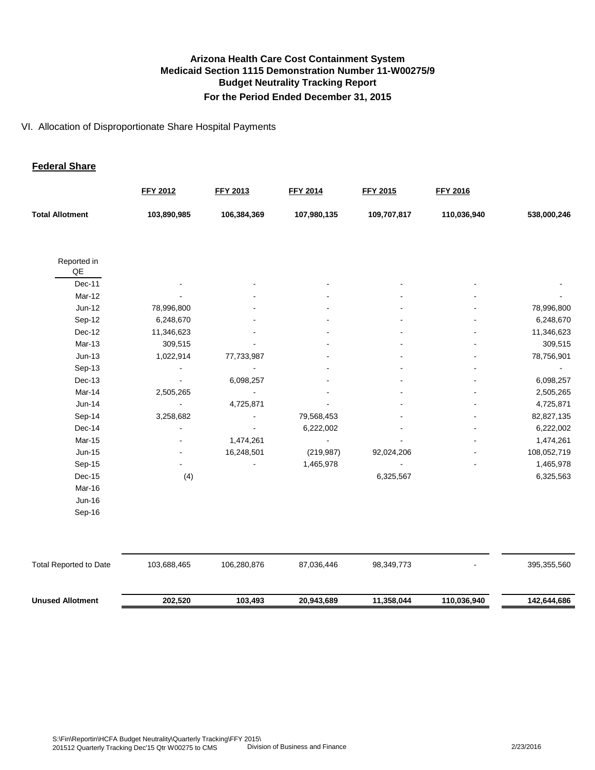### VI. Allocation of Disproportionate Share Hospital Payments

### **Federal Share**

|                               | <b>FFY 2012</b> | FFY 2013    | <b>FFY 2014</b> | <b>FFY 2015</b> | <b>FFY 2016</b> |             |
|-------------------------------|-----------------|-------------|-----------------|-----------------|-----------------|-------------|
| <b>Total Allotment</b>        | 103,890,985     | 106,384,369 | 107,980,135     | 109,707,817     | 110,036,940     | 538,000,246 |
| Reported in                   |                 |             |                 |                 |                 |             |
| QE                            |                 |             |                 |                 |                 |             |
| Dec-11                        |                 |             |                 |                 |                 |             |
| Mar-12                        |                 |             |                 |                 |                 |             |
| $Jun-12$                      | 78,996,800      |             |                 |                 |                 | 78,996,800  |
| Sep-12                        | 6,248,670       |             |                 |                 |                 | 6,248,670   |
| Dec-12                        | 11,346,623      |             |                 |                 |                 | 11,346,623  |
| Mar-13                        | 309,515         |             |                 |                 |                 | 309,515     |
| $Jun-13$                      | 1,022,914       | 77,733,987  |                 |                 |                 | 78,756,901  |
| Sep-13                        |                 |             |                 |                 |                 |             |
| Dec-13                        |                 | 6,098,257   |                 |                 |                 | 6,098,257   |
| Mar-14                        | 2,505,265       |             |                 |                 |                 | 2,505,265   |
| $Jun-14$                      |                 | 4,725,871   |                 |                 |                 | 4,725,871   |
| Sep-14                        | 3,258,682       |             | 79,568,453      |                 |                 | 82,827,135  |
| Dec-14                        |                 |             | 6,222,002       |                 |                 | 6,222,002   |
| Mar-15                        |                 | 1,474,261   |                 | $\blacksquare$  |                 | 1,474,261   |
| $Jun-15$                      |                 | 16,248,501  | (219, 987)      | 92,024,206      |                 | 108,052,719 |
| Sep-15                        |                 |             | 1,465,978       |                 |                 | 1,465,978   |
| Dec-15                        | (4)             |             |                 | 6,325,567       |                 | 6,325,563   |
| Mar-16                        |                 |             |                 |                 |                 |             |
| $Jun-16$                      |                 |             |                 |                 |                 |             |
| Sep-16                        |                 |             |                 |                 |                 |             |
|                               |                 |             |                 |                 |                 |             |
| <b>Total Reported to Date</b> | 103,688,465     | 106,280,876 | 87,036,446      | 98,349,773      |                 | 395,355,560 |
| <b>Unused Allotment</b>       | 202,520         | 103,493     | 20,943,689      | 11,358,044      | 110,036,940     | 142,644,686 |